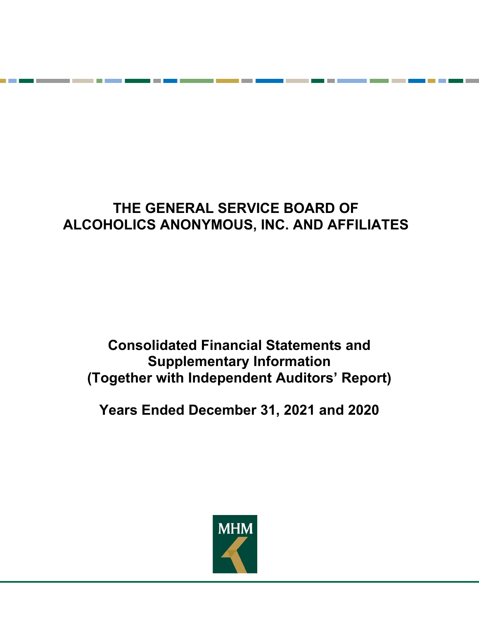# **THE GENERAL SERVICE BOARD OF ALCOHOLICS ANONYMOUS, INC. AND AFFILIATES**

# **Consolidated Financial Statements and Supplementary Information (Together with Independent Auditors' Report)**

**Years Ended December 31, 2021 and 2020**

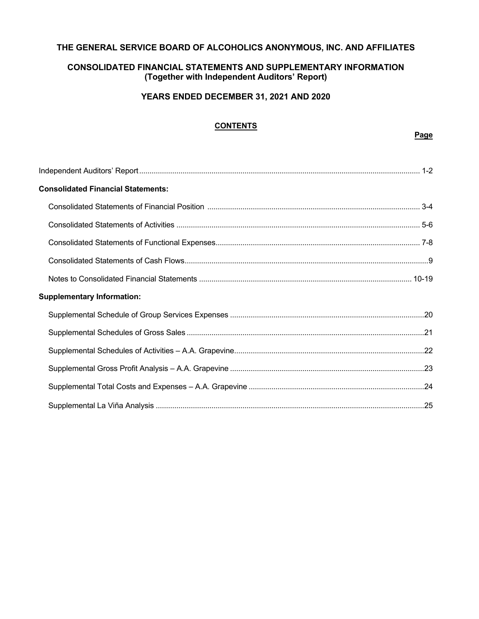# **THE GENERAL SERVICE BOARD OF ALCOHOLICS ANONYMOUS, INC. AND AFFILIATES**

# **CONSOLIDATED FINANCIAL STATEMENTS AND SUPPLEMENTARY INFORMATION (Together with Independent Auditors' Report)**

# **YEARS ENDED DECEMBER 31, 2021 AND 2020**

# **CONTENTS**

| <b>Consolidated Financial Statements:</b> |  |
|-------------------------------------------|--|
|                                           |  |
|                                           |  |
|                                           |  |
|                                           |  |
|                                           |  |
| <b>Supplementary Information:</b>         |  |
|                                           |  |
|                                           |  |
|                                           |  |
|                                           |  |
|                                           |  |
|                                           |  |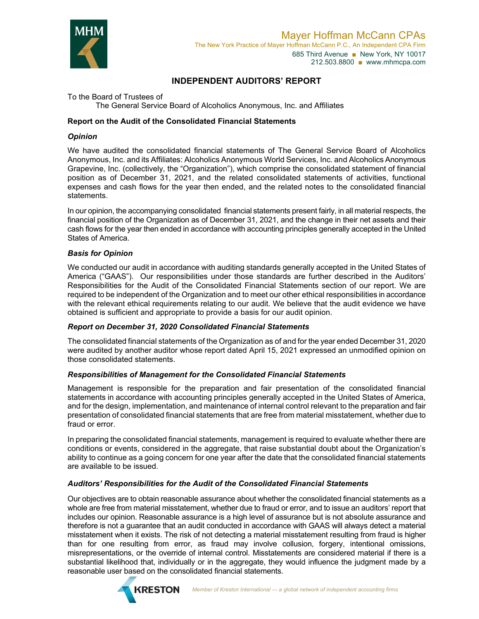

# Mayer Hoffman McCann CPAs

The New York Practice of Mayer Hoffman McCann P.C., An Independent CPA Firm 685 Third Avenue ■ New York, NY 10017 212.503.8800 ■ www.mhmcpa.com

# **INDEPENDENT AUDITORS' REPORT**

To the Board of Trustees of The General Service Board of Alcoholics Anonymous, Inc. and Affiliates

# **Report on the Audit of the Consolidated Financial Statements**

### *Opinion*

We have audited the consolidated financial statements of The General Service Board of Alcoholics Anonymous, Inc. and its Affiliates: Alcoholics Anonymous World Services, Inc. and Alcoholics Anonymous Grapevine, Inc. (collectively, the "Organization"), which comprise the consolidated statement of financial position as of December 31, 2021, and the related consolidated statements of activities, functional expenses and cash flows for the year then ended, and the related notes to the consolidated financial statements.

In our opinion, the accompanying consolidated financial statements present fairly, in all material respects, the financial position of the Organization as of December 31, 2021, and the change in their net assets and their cash flows for the year then ended in accordance with accounting principles generally accepted in the United States of America.

## *Basis for Opinion*

We conducted our audit in accordance with auditing standards generally accepted in the United States of America ("GAAS"). Our responsibilities under those standards are further described in the Auditors' Responsibilities for the Audit of the Consolidated Financial Statements section of our report. We are required to be independent of the Organization and to meet our other ethical responsibilities in accordance with the relevant ethical requirements relating to our audit. We believe that the audit evidence we have obtained is sufficient and appropriate to provide a basis for our audit opinion.

#### *Report on December 31, 2020 Consolidated Financial Statements*

The consolidated financial statements of the Organization as of and for the year ended December 31, 2020 were audited by another auditor whose report dated April 15, 2021 expressed an unmodified opinion on those consolidated statements.

#### *Responsibilities of Management for the Consolidated Financial Statements*

Management is responsible for the preparation and fair presentation of the consolidated financial statements in accordance with accounting principles generally accepted in the United States of America, and for the design, implementation, and maintenance of internal control relevant to the preparation and fair presentation of consolidated financial statements that are free from material misstatement, whether due to fraud or error.

In preparing the consolidated financial statements, management is required to evaluate whether there are conditions or events, considered in the aggregate, that raise substantial doubt about the Organization's ability to continue as a going concern for one year after the date that the consolidated financial statements are available to be issued.

# *Auditors' Responsibilities for the Audit of the Consolidated Financial Statements*

Our objectives are to obtain reasonable assurance about whether the consolidated financial statements as a whole are free from material misstatement, whether due to fraud or error, and to issue an auditors' report that includes our opinion. Reasonable assurance is a high level of assurance but is not absolute assurance and therefore is not a guarantee that an audit conducted in accordance with GAAS will always detect a material misstatement when it exists. The risk of not detecting a material misstatement resulting from fraud is higher than for one resulting from error, as fraud may involve collusion, forgery, intentional omissions, misrepresentations, or the override of internal control. Misstatements are considered material if there is a substantial likelihood that, individually or in the aggregate, they would influence the judgment made by a reasonable user based on the consolidated financial statements.

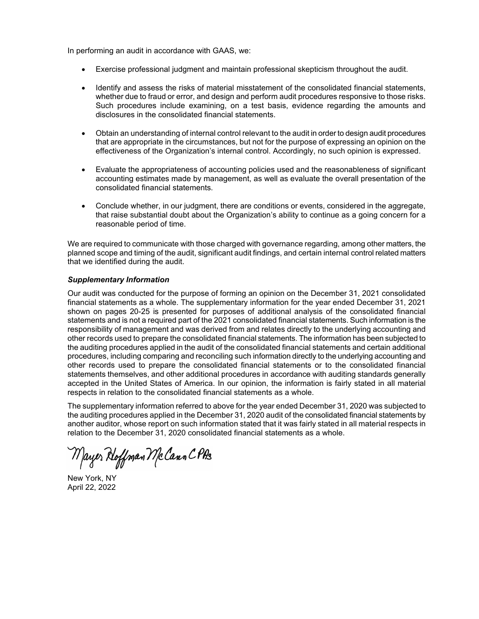In performing an audit in accordance with GAAS, we:

- Exercise professional judgment and maintain professional skepticism throughout the audit.
- Identify and assess the risks of material misstatement of the consolidated financial statements, whether due to fraud or error, and design and perform audit procedures responsive to those risks. Such procedures include examining, on a test basis, evidence regarding the amounts and disclosures in the consolidated financial statements.
- Obtain an understanding of internal control relevant to the audit in order to design audit procedures that are appropriate in the circumstances, but not for the purpose of expressing an opinion on the effectiveness of the Organization's internal control. Accordingly, no such opinion is expressed.
- Evaluate the appropriateness of accounting policies used and the reasonableness of significant accounting estimates made by management, as well as evaluate the overall presentation of the consolidated financial statements.
- Conclude whether, in our judgment, there are conditions or events, considered in the aggregate, that raise substantial doubt about the Organization's ability to continue as a going concern for a reasonable period of time.

We are required to communicate with those charged with governance regarding, among other matters, the planned scope and timing of the audit, significant audit findings, and certain internal control related matters that we identified during the audit.

## *Supplementary Information*

Our audit was conducted for the purpose of forming an opinion on the December 31, 2021 consolidated financial statements as a whole. The supplementary information for the year ended December 31, 2021 shown on pages 20-25 is presented for purposes of additional analysis of the consolidated financial statements and is not a required part of the 2021 consolidated financial statements. Such information is the responsibility of management and was derived from and relates directly to the underlying accounting and other records used to prepare the consolidated financial statements. The information has been subjected to the auditing procedures applied in the audit of the consolidated financial statements and certain additional procedures, including comparing and reconciling such information directly to the underlying accounting and other records used to prepare the consolidated financial statements or to the consolidated financial statements themselves, and other additional procedures in accordance with auditing standards generally accepted in the United States of America. In our opinion, the information is fairly stated in all material respects in relation to the consolidated financial statements as a whole.

The supplementary information referred to above for the year ended December 31, 2020 was subjected to the auditing procedures applied in the December 31, 2020 audit of the consolidated financial statements by another auditor, whose report on such information stated that it was fairly stated in all material respects in relation to the December 31, 2020 consolidated financial statements as a whole.

Mayer Hoffman McCann CPAs

New York, NY April 22, 2022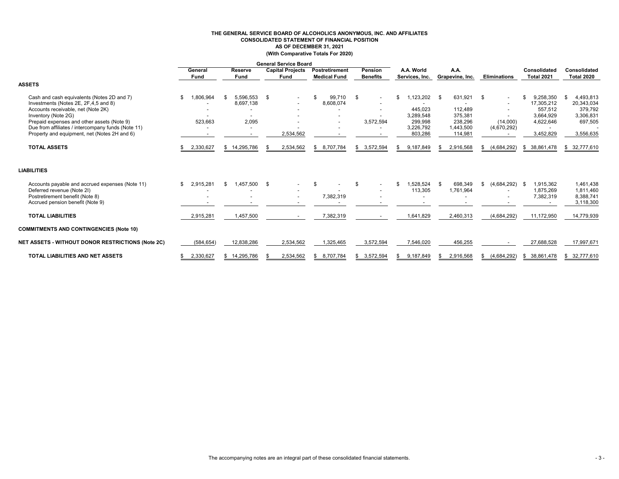#### **THE GENERAL SERVICE BOARD OF ALCOHOLICS ANONYMOUS, INC. AND AFFILIATES CONSOLIDATED STATEMENT OF FINANCIAL POSITION AS OF DECEMBER 31, 2021 (With Comparative Totals For 2020)**

|                                                                                                                                                                                                                                                                                                       | <b>General Service Board</b> |                                                                                         |                                 |                                       |                                                                           |                                                                     |                                                                  |                                 |                                                                           |                                                                         |
|-------------------------------------------------------------------------------------------------------------------------------------------------------------------------------------------------------------------------------------------------------------------------------------------------------|------------------------------|-----------------------------------------------------------------------------------------|---------------------------------|---------------------------------------|---------------------------------------------------------------------------|---------------------------------------------------------------------|------------------------------------------------------------------|---------------------------------|---------------------------------------------------------------------------|-------------------------------------------------------------------------|
|                                                                                                                                                                                                                                                                                                       | General<br>Fund              | Reserve<br><b>Fund</b>                                                                  | <b>Capital Projects</b><br>Fund | Postretirement<br><b>Medical Fund</b> | Pension<br><b>Benefits</b>                                                | A.A. World<br>Services, Inc.                                        | A.A.<br>Grapevine, Inc.                                          | <b>Eliminations</b>             | Consolidated<br><b>Total 2021</b>                                         | Consolidated<br><b>Total 2020</b>                                       |
| <b>ASSETS</b>                                                                                                                                                                                                                                                                                         |                              |                                                                                         |                                 |                                       |                                                                           |                                                                     |                                                                  |                                 |                                                                           |                                                                         |
| Cash and cash equivalents (Notes 2D and 7)<br>Investments (Notes 2E, 2F, 4, 5 and 8)<br>Accounts receivable, net (Note 2K)<br>Inventory (Note 2G)<br>Prepaid expenses and other assets (Note 9)<br>Due from affiliates / intercompany funds (Note 11)<br>Property and equipment, net (Notes 2H and 6) | 1,806,964<br>523,663         | 5.596.553<br>8,697,138<br>$\overline{\phantom{a}}$<br>2,095<br>$\overline{\phantom{0}}$ | \$<br>2,534,562                 | 99,710<br>8,608,074                   | - \$<br>$\overline{\phantom{a}}$<br>3,572,594<br>$\overline{\phantom{a}}$ | ,123,202<br>445.023<br>3,289,548<br>299,998<br>3,226,792<br>803,286 | 631,921<br>112,489<br>375.381<br>238,296<br>1,443,500<br>114,981 | - \$<br>(14,000)<br>(4,670,292) | 9,258,350<br>17,305,212<br>557.512<br>3,664,929<br>4,622,646<br>3,452,829 | 4,493,813<br>20,343,034<br>379,792<br>3,306,831<br>697,505<br>3,556,635 |
| <b>TOTAL ASSETS</b>                                                                                                                                                                                                                                                                                   | 2,330,627<br>S               | \$14,295,786                                                                            | 2,534,562<br>\$.                | 8,707,784<br>\$                       | 3,572,594<br>\$                                                           | 9,187,849<br>S.                                                     | 2,916,568<br>\$                                                  | \$(4,684,292)                   | \$ 38,861,478                                                             | 32,777,610<br>S.                                                        |
| <b>LIABILITIES</b>                                                                                                                                                                                                                                                                                    |                              |                                                                                         |                                 |                                       |                                                                           |                                                                     |                                                                  |                                 |                                                                           |                                                                         |
| Accounts payable and accrued expenses (Note 11)<br>Deferred revenue (Note 2I)<br>Postretirement benefit (Note 8)<br>Accrued pension benefit (Note 9)                                                                                                                                                  | 2.915.281<br>\$              | .457.500                                                                                | - \$                            | \$.<br>7,382,319                      | \$<br>$\overline{\phantom{a}}$                                            | .528.524<br>113,305                                                 | 698.349<br>. ጽ<br>1,761,964                                      | (4.684.292)<br>\$.              | 1.915.362<br>- \$<br>1,875,269<br>7,382,319                               | 1,461,438<br>1,811,460<br>8,388,741<br>3,118,300                        |
| <b>TOTAL LIABILITIES</b>                                                                                                                                                                                                                                                                              | 2,915,281                    | 1,457,500                                                                               |                                 | 7,382,319                             |                                                                           | 1,641,829                                                           | 2,460,313                                                        | (4,684,292)                     | 11,172,950                                                                | 14,779,939                                                              |
| <b>COMMITMENTS AND CONTINGENCIES (Note 10)</b>                                                                                                                                                                                                                                                        |                              |                                                                                         |                                 |                                       |                                                                           |                                                                     |                                                                  |                                 |                                                                           |                                                                         |
| <b>NET ASSETS - WITHOUT DONOR RESTRICTIONS (Note 2C)</b>                                                                                                                                                                                                                                              | (584, 654)                   | 12,838,286                                                                              | 2,534,562                       | 1,325,465                             | 3,572,594                                                                 | 7,546,020                                                           | 456,255                                                          |                                 | 27,688,528                                                                | 17,997,671                                                              |
| <b>TOTAL LIABILITIES AND NET ASSETS</b>                                                                                                                                                                                                                                                               | 2,330,627<br>S               | \$14,295,786                                                                            | 2,534,562                       | 8,707,784<br>s.                       | 3,572,594<br>\$.                                                          | 9,187,849                                                           | 2,916,568                                                        | \$ (4,684,292)                  | \$ 38,861,478                                                             | \$32,777,610                                                            |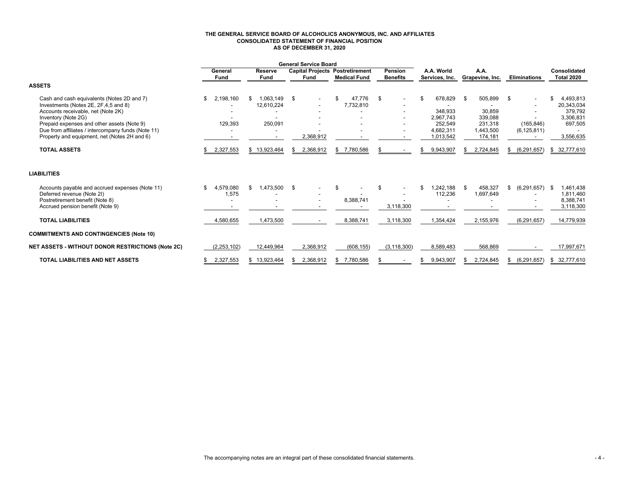#### **THE GENERAL SERVICE BOARD OF ALCOHOLICS ANONYMOUS, INC. AND AFFILIATES CONSOLIDATED STATEMENT OF FINANCIAL POSITION AS OF DECEMBER 31, 2020**

|                                                                                                                                                                                                                                                                                                       |                             |                                           | <b>General Service Board</b>                   |                     |                                   |                                                                      |                                                                       |                                   |                                                                               |
|-------------------------------------------------------------------------------------------------------------------------------------------------------------------------------------------------------------------------------------------------------------------------------------------------------|-----------------------------|-------------------------------------------|------------------------------------------------|---------------------|-----------------------------------|----------------------------------------------------------------------|-----------------------------------------------------------------------|-----------------------------------|-------------------------------------------------------------------------------|
|                                                                                                                                                                                                                                                                                                       | General<br>Fund             | <b>Reserve</b><br><b>Fund</b>             | <b>Capital Projects Postretirement</b><br>Fund | <b>Medical Fund</b> | <b>Pension</b><br><b>Benefits</b> | A.A. World<br>Services, Inc.                                         | A.A.<br>Grapevine, Inc.                                               | <b>Eliminations</b>               | Consolidated<br><b>Total 2020</b>                                             |
| <b>ASSETS</b>                                                                                                                                                                                                                                                                                         |                             |                                           |                                                |                     |                                   |                                                                      |                                                                       |                                   |                                                                               |
| Cash and cash equivalents (Notes 2D and 7)<br>Investments (Notes 2E, 2F, 4, 5 and 8)<br>Accounts receivable, net (Note 2K)<br>Inventory (Note 2G)<br>Prepaid expenses and other assets (Note 9)<br>Due from affiliates / intercompany funds (Note 11)<br>Property and equipment, net (Notes 2H and 6) | 2,198,160<br>\$.<br>129,393 | 1.063.149<br>\$.<br>12,610,224<br>250,091 | \$<br>2,368,912                                | 47.776<br>7,732,810 | \$                                | 678,829<br>348,933<br>2.967.743<br>252,549<br>4,682,311<br>1,013,542 | 505,899<br>\$<br>30,859<br>339,088<br>231,318<br>1,443,500<br>174,181 | \$<br>(165, 846)<br>(6, 125, 811) | 4,493,813<br>\$<br>20,343,034<br>379,792<br>3,306,831<br>697,505<br>3,556,635 |
| <b>TOTAL ASSETS</b>                                                                                                                                                                                                                                                                                   | 2,327,553                   | \$13,923,464                              | 2,368,912<br>\$                                | \$<br>7,780,586     | S.<br>$\overline{\phantom{a}}$    | 9,943,907                                                            | 2,724,845<br>S                                                        | (6, 291, 657)<br>S.               | \$ 32,777,610                                                                 |
| <b>LIABILITIES</b>                                                                                                                                                                                                                                                                                    |                             |                                           |                                                |                     |                                   |                                                                      |                                                                       |                                   |                                                                               |
| Accounts payable and accrued expenses (Note 11)<br>Deferred revenue (Note 2I)<br>Postretirement benefit (Note 8)<br>Accrued pension benefit (Note 9)                                                                                                                                                  | .579.080<br>1,575           | 1.473.500<br>\$                           | \$                                             | 8,388,741           | \$<br>3,118,300                   | ,242,188<br>112,236                                                  | 458,327<br>\$<br>1,697,649                                            | (6, 291, 657)<br>\$               | 1,461,438<br>- \$<br>1,811,460<br>8,388,741<br>3,118,300                      |
| <b>TOTAL LIABILITIES</b>                                                                                                                                                                                                                                                                              | 4,580,655                   | 1,473,500                                 |                                                | 8,388,741           | 3,118,300                         | 1,354,424                                                            | 2,155,976                                                             | (6, 291, 657)                     | 14,779,939                                                                    |
| <b>COMMITMENTS AND CONTINGENCIES (Note 10)</b>                                                                                                                                                                                                                                                        |                             |                                           |                                                |                     |                                   |                                                                      |                                                                       |                                   |                                                                               |
| <b>NET ASSETS - WITHOUT DONOR RESTRICTIONS (Note 2C)</b>                                                                                                                                                                                                                                              | (2, 253, 102)               | 12,449,964                                | 2,368,912                                      | (608, 155)          | (3, 118, 300)                     | 8,589,483                                                            | 568,869                                                               |                                   | 17,997,671                                                                    |
| <b>TOTAL LIABILITIES AND NET ASSETS</b>                                                                                                                                                                                                                                                               | 2,327,553                   | \$13,923,464                              | 2,368,912                                      | 7,780,586<br>S.     |                                   | 9,943,907                                                            | 2,724,845<br>S                                                        | (6, 291, 657)<br>S.               | \$32,777,610                                                                  |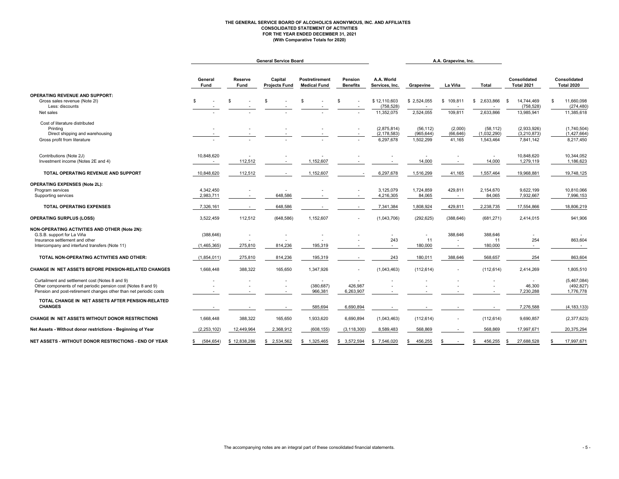#### **THE GENERAL SERVICE BOARD OF ALCOHOLICS ANONYMOUS, INC. AND AFFILIATES CONSOLIDATED STATEMENT OF ACTIVITIES FOR THE YEAR ENDED DECEMBER 31, 2021 (With Comparative Totals for 2020)**

|                                                                    |                  |                          | <b>General Service Board</b>    |                                       |                            |                              |                       | A.A. Grapevine, Inc.     |                          |                                   |                                          |
|--------------------------------------------------------------------|------------------|--------------------------|---------------------------------|---------------------------------------|----------------------------|------------------------------|-----------------------|--------------------------|--------------------------|-----------------------------------|------------------------------------------|
|                                                                    | General<br>Fund  | Reserve<br>Fund          | Capital<br><b>Projects Fund</b> | Postretirement<br><b>Medical Fund</b> | Pension<br><b>Benefits</b> | A.A. World<br>Services, Inc. | Grapevine             | La Viña                  | <b>Total</b>             | Consolidated<br><b>Total 2021</b> | <b>Consolidated</b><br><b>Total 2020</b> |
| OPERATING REVENUE AND SUPPORT:                                     |                  |                          |                                 |                                       |                            |                              |                       |                          |                          |                                   |                                          |
| Gross sales revenue (Note 2I)<br>Less: discounts                   | \$               | \$                       | \$                              | -S                                    | \$                         | \$12,110,603<br>(758, 528)   | \$2,524,055<br>$\sim$ | \$109,811                | 2,633,866<br>\$.         | 14,744,469<br>- \$<br>(758, 528)  | \$<br>11,660,098<br>(274, 480)           |
| Net sales                                                          |                  |                          |                                 |                                       |                            | 11,352,075                   | 2,524,055             | 109,811                  | 2,633,866                | 13,985,941                        | 11,385,618                               |
| Cost of literature distributed                                     |                  |                          |                                 |                                       |                            |                              |                       |                          |                          |                                   |                                          |
| Printing                                                           |                  |                          |                                 |                                       |                            | (2,875,814)                  | (56, 112)             | (2,000)                  | (58, 112)                | (2,933,926)                       | (1,740,504)                              |
| Direct shipping and warehousing                                    |                  |                          |                                 |                                       |                            | (2, 178, 583)                | (965, 644)            | (66, 646)                | (1,032,290)              | (3,210,873)                       | (1,427,664)                              |
| Gross profit from literature                                       |                  |                          |                                 |                                       |                            | 6,297,678                    | 1,502,299             | 41,165                   | 1,543,464                | 7,841,142                         | 8,217,450                                |
| Contributions (Note 2J)                                            | 10,848,620       |                          |                                 |                                       |                            |                              |                       |                          | $\overline{\phantom{a}}$ | 10,848,620                        | 10,344,052                               |
| Investment income (Notes 2E and 4)                                 | ۰.               | 112,512                  | $\overline{\phantom{a}}$        | 1,152,607                             |                            |                              | 14,000                | $\overline{\phantom{a}}$ | 14,000                   | 1,279,119                         | 1,186,623                                |
| TOTAL OPERATING REVENUE AND SUPPORT                                | 10,848,620       | 112,512                  | $\overline{\phantom{a}}$        | 1,152,607                             |                            | 6,297,678                    | 1,516,299             | 41,165                   | 1,557,464                | 19,968,881                        | 19,748,125                               |
| <b>OPERATING EXPENSES (Note 2L):</b>                               |                  |                          |                                 |                                       |                            |                              |                       |                          |                          |                                   |                                          |
| Program services                                                   | 4,342,450        |                          |                                 |                                       |                            | 3,125,079                    | 1,724,859             | 429,811                  | 2,154,670                | 9,622,199                         | 10,810,066                               |
| Supporting services                                                | 2,983,711        | $\sim$                   | 648,586                         |                                       |                            | 4,216,305                    | 84,065                | $\sim$                   | 84,065                   | 7,932,667                         | 7,996,153                                |
| <b>TOTAL OPERATING EXPENSES</b>                                    | 7,326,161        | $\overline{\phantom{a}}$ | 648,586                         |                                       |                            | 7,341,384                    | 1,808,924             | 429,811                  | 2,238,735                | 17,554,866                        | 18,806,219                               |
| <b>OPERATING SURPLUS (LOSS)</b>                                    | 3,522,459        | 112,512                  | (648, 586)                      | 1,152,607                             |                            | (1,043,706)                  | (292, 625)            | (388, 646)               | (681, 271)               | 2,414,015                         | 941,906                                  |
| NON-OPERATING ACTIVITIES AND OTHER (Note 2N):                      |                  |                          |                                 |                                       |                            |                              |                       |                          |                          |                                   |                                          |
| G.S.B. support for La Viña                                         | (388, 646)       |                          |                                 |                                       |                            |                              | ٠                     | 388,646                  | 388,646                  |                                   |                                          |
| Insurance settlement and other                                     |                  |                          |                                 |                                       |                            | 243                          | 11                    |                          | 11                       | 254                               | 863,604                                  |
| Intercompany and interfund transfers (Note 11)                     | (1,465,365)      | 275,810                  | 814,236                         | 195,319                               |                            | $\sim$                       | 180,000               | $\sim$                   | 180,000                  | $\sim$                            |                                          |
| TOTAL NON-OPERATING ACTIVITIES AND OTHER:                          | (1,854,011)      | 275,810                  | 814,236                         | 195,319                               | $\overline{\phantom{a}}$   | 243                          | 180,011               | 388,646                  | 568,657                  | 254                               | 863,604                                  |
| CHANGE IN NET ASSETS BEFORE PENSION-RELATED CHANGES                | 1,668,448        | 388,322                  | 165,650                         | 1,347,926                             |                            | (1,043,463)                  | (112, 614)            |                          | (112, 614)               | 2,414,269                         | 1,805,510                                |
| Curtailment and settlement cost (Notes 8 and 9)                    |                  |                          | ٠                               | $\overline{\phantom{a}}$              |                            |                              |                       |                          |                          | $\overline{a}$                    | (5,467,084)                              |
| Other components of net periodic pension cost (Notes 8 and 9)      |                  |                          | $\overline{\phantom{a}}$        | (380, 687)                            | 426,987                    |                              |                       |                          | $\overline{a}$           | 46,300                            | (492, 827)                               |
| Pension and post-retirement changes other than net periodic costs  |                  |                          |                                 | 966,381                               | 6,263,907                  |                              |                       |                          |                          | 7,230,288                         | 1,776,778                                |
| TOTAL CHANGE IN NET ASSETS AFTER PENSION-RELATED<br><b>CHANGES</b> |                  |                          | $\overline{\phantom{a}}$        | 585,694                               | 6,690,894                  |                              |                       |                          | $\overline{\phantom{a}}$ | 7,276,588                         | (4, 183, 133)                            |
| <b>CHANGE IN NET ASSETS WITHOUT DONOR RESTRICTIONS</b>             | 1,668,448        | 388,322                  | 165,650                         | 1,933,620                             | 6,690,894                  | (1,043,463)                  | (112, 614)            |                          | (112, 614)               | 9,690,857                         | (2,377,623)                              |
| Net Assets - Without donor restrictions - Beginning of Year        | (2,253,102)      | 12,449,964               | 2,368,912                       | (608, 155)                            | (3, 118, 300)              | 8,589,483                    | 568,869               |                          | 568,869                  | 17,997,671                        | 20,375,294                               |
| NET ASSETS - WITHOUT DONOR RESTRICTIONS - END OF YEAR              | (584, 654)<br>s. | \$12,838,286             | \$2,534,562                     | 1,325,465<br>S.                       | 3,572,594<br>s.            | \$ 7,546,020                 | 456,255<br>S          | -S                       | 456,255<br>\$            | 27,688,528<br>-S                  | 17,997,671                               |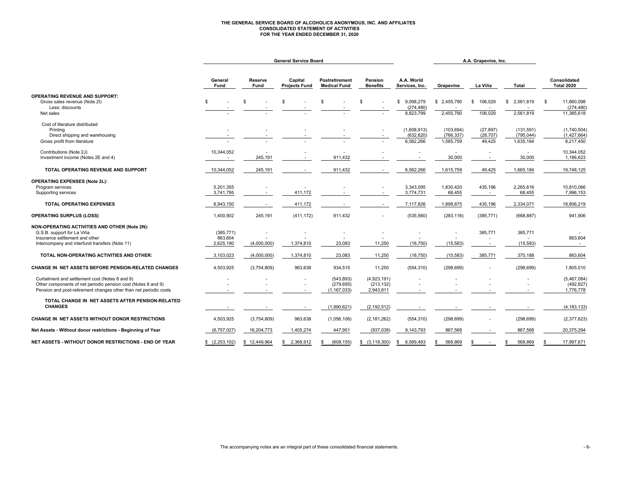# **THE GENERAL SERVICE BOARD OF ALCOHOLICS ANONYMOUS, INC. AND AFFILIATES CONSOLIDATED STATEMENT OF ACTIVITIES FOR THE YEAR ENDED DECEMBER 31, 2020**

|                                                                                                                                    |                        |                 | <b>General Service Board</b>    |                                       |                            | A.A. Grapevine, Inc.         |                                 |                          |                     |                                   |
|------------------------------------------------------------------------------------------------------------------------------------|------------------------|-----------------|---------------------------------|---------------------------------------|----------------------------|------------------------------|---------------------------------|--------------------------|---------------------|-----------------------------------|
|                                                                                                                                    | General<br>Fund        | Reserve<br>Fund | Capital<br><b>Projects Fund</b> | Postretirement<br><b>Medical Fund</b> | Pension<br><b>Benefits</b> | A.A. World<br>Services, Inc. | Grapevine                       | La Viña                  | <b>Total</b>        | Consolidated<br><b>Total 2020</b> |
| <b>OPERATING REVENUE AND SUPPORT:</b>                                                                                              |                        |                 |                                 |                                       |                            |                              |                                 |                          |                     |                                   |
| Gross sales revenue (Note 2I)<br>Less: discounts                                                                                   | \$                     |                 | \$.                             | S                                     | \$                         | \$<br>9,098,279<br>(274,480) | \$ 2,455,790                    | \$<br>106.029            | \$2,561,819         | 11,660,098<br>- \$<br>(274, 480)  |
| Net sales                                                                                                                          |                        |                 |                                 |                                       |                            | 8,823,799                    | 2,455,790                       | 106,029                  | 2,561,819           | 11,385,618                        |
| Cost of literature distributed<br>Printing                                                                                         |                        |                 |                                 |                                       |                            | (1,608,913)                  | (103, 694)                      | (27, 897)                | (131, 591)          | (1,740,504)                       |
| Direct shipping and warehousing                                                                                                    |                        |                 |                                 |                                       |                            | (632, 620)                   | (766, 337)                      | (28, 707)                | (795, 044)          | (1,427,664)                       |
| Gross profit from literature                                                                                                       |                        |                 |                                 |                                       |                            | 6,582,266                    | 1,585,759                       | 49,425                   | 1,635,184           | 8,217,450                         |
| Contributions (Note 2J)<br>Investment income (Notes 2E and 4)                                                                      | 10,344,052             | 245,191         |                                 | 911,432                               |                            |                              | $\tilde{\phantom{a}}$<br>30,000 | $\sim$                   | 30,000              | 10,344,052<br>1,186,623           |
| TOTAL OPERATING REVENUE AND SUPPORT                                                                                                | 10,344,052             | 245,191         |                                 | 911,432                               |                            | 6,582,266                    | 1,615,759                       | 49,425                   | 1,665,184           | 19,748,125                        |
| <b>OPERATING EXPENSES (Note 2L):</b>                                                                                               |                        |                 |                                 |                                       |                            |                              |                                 |                          |                     |                                   |
| Program services<br>Supporting services                                                                                            | 5,201,355<br>3,741,795 |                 | 411,172                         | $\overline{\phantom{a}}$<br>$\sim$    |                            | 3,343,095<br>3,774,731       | 1,830,420<br>68,455             | 435,196<br>$\sim$        | 2,265,616<br>68,455 | 10,810,066<br>7,996,153           |
| <b>TOTAL OPERATING EXPENSES</b>                                                                                                    | 8,943,150              |                 | 411,172                         |                                       |                            | 7,117,826                    | 1,898,875                       | 435,196                  | 2,334,071           | 18,806,219                        |
| <b>OPERATING SURPLUS (LOSS)</b>                                                                                                    | 1,400,902              | 245,191         | (411, 172)                      | 911,432                               |                            | (535, 560)                   | (283, 116)                      | (385, 771)               | (668, 887)          | 941,906                           |
| NON-OPERATING ACTIVITIES AND OTHER (Note 2N):                                                                                      |                        |                 |                                 |                                       |                            |                              |                                 |                          |                     |                                   |
| G.S.B. support for La Viña                                                                                                         | (385, 771)             |                 |                                 |                                       |                            |                              |                                 | 385,771                  | 385,771             |                                   |
| Insurance settlement and other                                                                                                     | 863,604                |                 |                                 |                                       |                            |                              |                                 |                          |                     | 863,604                           |
| Intercompany and interfund transfers (Note 11)                                                                                     | 2,625,190              | (4,000,000)     | 1,374,810                       | 23,083                                | 11,250                     | (18, 750)                    | (15, 583)                       | $\overline{\phantom{a}}$ | (15, 583)           | $\sim$                            |
| TOTAL NON-OPERATING ACTIVITIES AND OTHER:                                                                                          | 3,103,023              | (4,000,000)     | 1,374,810                       | 23,083                                | 11,250                     | (18, 750)                    | (15, 583)                       | 385,771                  | 370,188             | 863,604                           |
| <b>CHANGE IN NET ASSETS BEFORE PENSION-RELATED CHANGES</b>                                                                         | 4,503,925              | (3,754,809)     | 963,638                         | 934,515                               | 11,250                     | (554, 310)                   | (298, 699)                      |                          | (298, 699)          | 1,805,510                         |
| Curtailment and settlement cost (Notes 8 and 9)                                                                                    |                        |                 |                                 | (543, 893)                            | (4,923,191)                |                              |                                 |                          |                     | (5,467,084)                       |
| Other components of net periodic pension cost (Notes 8 and 9)<br>Pension and post-retirement changes other than net periodic costs |                        |                 |                                 | (279, 695)<br>(1, 167, 033)           | (213, 132)<br>2,943,811    | $\overline{\phantom{a}}$     |                                 |                          |                     | (492, 827)<br>1,776,778           |
| TOTAL CHANGE IN NET ASSETS AFTER PENSION-RELATED<br><b>CHANGES</b>                                                                 |                        |                 |                                 | (1,990,621)                           | (2, 192, 512)              |                              |                                 |                          |                     | (4, 183, 133)                     |
| <b>CHANGE IN NET ASSETS WITHOUT DONOR RESTRICTIONS</b>                                                                             | 4,503,925              | (3,754,809)     | 963,638                         | (1,056,106)                           | (2, 181, 262)              | (554, 310)                   | (298, 699)                      |                          | (298, 699)          | (2,377,623)                       |
| Net Assets - Without donor restrictions - Beginning of Year                                                                        | (6,757,027)            | 16,204,773      | 1,405,274                       | 447,951                               | (937, 038)                 | 9,143,793                    | 867,568                         |                          | 867,568             | 20,375,294                        |
| NET ASSETS - WITHOUT DONOR RESTRICTIONS - END OF YEAR                                                                              | \$(2,253,102)          | \$12,449,964    | 2,368,912<br>\$                 | (608, 155)<br>S                       | \$ (3, 118, 300)           | 8,589,483<br>\$              | 568,869<br>S                    |                          | 568,869<br>S        | 17,997,671                        |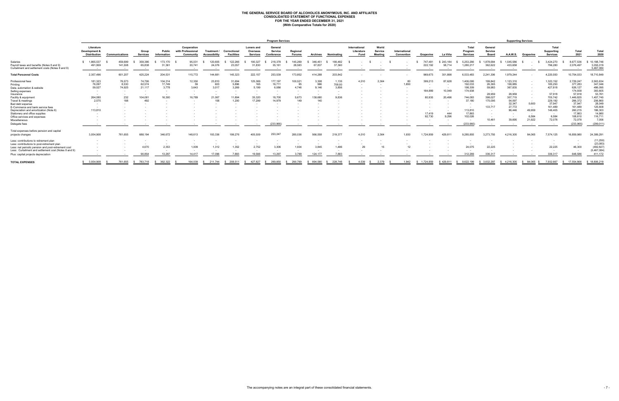#### **THE GENERAL SERVICE BOARD OF ALCOHOLICS ANONYMOUS, INC. AND AFFILIATES CONSOLIDATED STATEMENT OF FUNCTIONAL EXPENSES FOR THE YEAR ENDED DECEMBER 31, 2021 (With Comparative Totals for 2020)**

|                                                                                                                                                                                                       | <b>Program Services</b>                          |                                     |                            |                                      |                                              |                                  |                                    |                                                  |                                      | <b>Supporting Services</b>       |                                                   |                          |                                             |                                    |                             |                                                |                  |                                                                        |                                       |                                           |                           |                                                     |                                                      |                                                      |
|-------------------------------------------------------------------------------------------------------------------------------------------------------------------------------------------------------|--------------------------------------------------|-------------------------------------|----------------------------|--------------------------------------|----------------------------------------------|----------------------------------|------------------------------------|--------------------------------------------------|--------------------------------------|----------------------------------|---------------------------------------------------|--------------------------|---------------------------------------------|------------------------------------|-----------------------------|------------------------------------------------|------------------|------------------------------------------------------------------------|---------------------------------------|-------------------------------------------|---------------------------|-----------------------------------------------------|------------------------------------------------------|------------------------------------------------------|
|                                                                                                                                                                                                       | Literature<br>Development<br><b>Distribution</b> | Communications                      | Group<br><b>Services</b>   | Public<br>Information                | Cooperation<br>with Professiona<br>Community | Treatmen<br>Accessibility        | Correctional<br><b>Facilities</b>  | <b>Loners</b> and<br>Overseas<br><b>Services</b> | Genera<br>Service<br>Conference      | Regional<br><b>Forums</b>        | <b>Archives</b>                                   | Nominatino               | Internationa<br>Literature<br>Fund          | World<br>Service<br><b>Meeting</b> | International<br>Convention | Grapevine                                      | La Viña          | Total<br>Program<br><b>Services</b>                                    | General<br>Service<br><b>Board</b>    | <b>A.A.W.S.</b>                           | Grapevine                 | Total<br>Supporting<br><b>Services</b>              | Total<br>2021                                        | <b>Total</b><br>2020                                 |
| Salaries<br>Payroll taxes and benefits (Notes 8 and 9)<br>Curtailment and settlement costs (Notes 8 and 9)                                                                                            | 1,865,537<br>491,959                             | 459.699<br>141,508                  | 359,386<br>65,838          | 173,170<br>31,361                    | 95,031<br>20,741                             | 120,605<br>24,076                | 122,266<br>23,057                  | 190,327<br>31,830                                | 218,378<br>35,161                    | 28,583                           | 346,451<br>67,837                                 | 166.482<br>37,360        |                                             |                                    |                             | 222,192                                        | \$243.<br>58,714 | 5,253,266<br>1,280,217                                                 | 1,878,684<br>362,622                  | 1.545.586<br>433,658                      |                           | 3,424,270<br>796,280<br>$\sim$                      | 8.677.536<br>2,076,497<br>$\overline{\phantom{a}}$   | \$10,188,746<br>3,055,019<br>5,467,084               |
| <b>Total Personnel Costs</b>                                                                                                                                                                          | 2,357,496                                        | 601,207                             | 425,224                    | 204,531                              | 115,772                                      | 144,681                          | 145,323                            | 222,157                                          | 253,539                              | 173,852                          | 414,288                                           | 203,842                  |                                             |                                    |                             | 969,673                                        | 301,898          | 6,533,483                                                              | 2.241.306                             | 1,979,244                                 |                           | 4,220,550                                           | 10.754.033                                           | 18,710,849                                           |
| Professional fees<br>Printing<br>Data, automation & website<br>Selling expenses<br>Insurance                                                                                                          | 181,323<br>76,097<br>59,527                      | 76,573<br>8,530<br>74,925<br>$\sim$ | 74,706<br>62,574<br>21,117 | 104,314<br>17,749<br>3,778<br>$\sim$ | 12,350<br>59<br>3,643<br>$\sim$              | 23,810<br>603<br>3,017<br>$\sim$ | 31,694<br>5,896<br>3,269<br>$\sim$ | 125,369<br>165<br>5,199<br>$\sim$                | 177,197<br>16,711<br>6,086<br>$\sim$ | 100,521<br>95<br>4,746<br>$\sim$ | 3,308<br>996<br>9,146<br>$\overline{\phantom{a}}$ | 1,135<br>708.00<br>3,856 | 4,510<br>$\sim$<br>$\overline{\phantom{a}}$ | 2,364                              | 80<br>1,850                 | 399,213<br>$\overline{\phantom{a}}$<br>164,889 | 87,628<br>10,049 | 1,406,095<br>192,033<br>198,309<br>174,938<br>$\overline{\phantom{a}}$ | 199,842<br>26,365<br>59,983<br>28,959 | 1,123,310<br>158,885<br>367,835<br>28,959 |                           | 1,323,152<br>185,250<br>427,818<br>$\sim$<br>57,918 | 2,729,247<br>377,283<br>626,127<br>174,938<br>57,918 | 2,563,634<br>347,046<br>486,095<br>383,605<br>53,761 |
| Facility & equipment<br>Travel & meetings<br>Bad debt expense<br>E-Commerce and bank service fees                                                                                                     | 264,080<br>2,575                                 | 232<br>188                          | 104,081<br>492             | 16,300                               | 16,789                                       | 21,067<br>158                    | 11,894<br>1,200                    | 35,320<br>17,299                                 | 18,700<br>14,979                     | 5,673<br>149                     | 138,680<br>140                                    | 9,836                    |                                             |                                    |                             | 80,935                                         | 20,496           | 744,083<br>37,180                                                      | 398,027<br>175,095<br>133,717         | 307,715<br>54,097<br>32,347<br>27,772     | 5,600                     | 705,742<br>229,192<br>37,947<br>161,489             | 1,449,825<br>266,372<br>37,947<br>161,489            | 1,457,745<br>206,860<br>28,049<br>125,608            |
| Depreciation and amortization (Note 6)<br>Stationery and office supplies<br>Office services and expenses<br>Miscellaneous                                                                             | 113,810                                          |                                     |                            |                                      |                                              |                                  |                                    |                                                  |                                      |                                  |                                                   |                          |                                             |                                    |                             | 17,419<br>92,730                               | 444<br>9,296     | 113,810<br>17,863<br>102,026                                           | 10,461                                | 96.446<br>39,695                          | 49,959<br>6,584<br>21,922 | 146,405<br>$\sim$<br>6,584<br>72,078                | 260,215<br>17,863<br>108,610<br>72,078               | 186,303<br>14,980<br>116,711<br>7,056                |
| Delegate fees                                                                                                                                                                                         |                                                  |                                     |                            |                                      |                                              |                                  |                                    | $\sim$                                           | (233, 965)                           |                                  |                                                   |                          |                                             |                                    |                             |                                                |                  | (233, 965)                                                             |                                       |                                           |                           | $\sim$                                              | (233,965)                                            | (299, 011)                                           |
| Total expenses before pension and capital<br>projects changes                                                                                                                                         | 3,054,908                                        | 761,655                             | 688,194                    | 346,672                              | 148.613                                      | 193,336                          | 199,276                            | 405,509                                          | 253,247                              | 285,036                          | 566,558                                           | 219,377                  | 4.510                                       | 2,364                              | 1.930                       | 1.724.859                                      | 429.811          | 9.285.855                                                              | 3.273.755                             | 4.216.305                                 | 84.065                    | 7.574.125                                           | 16.859.980                                           | 24,389,29                                            |
| Less: contributions to retirement plan<br>Less: contributions to post-retirement plan<br>Less: net periodic pension and post-retirement cost<br>Less: Curtailment and settlement cost (Notes 8 and 9) |                                                  |                                     | 4,670                      | 2,353                                | 1,009                                        | 1,312                            | 1,352                              | 2,752                                            | 3,306                                | 1,934                            | 3,845                                             | 1.486                    | 29                                          |                                    | 12                          |                                                |                  | 24,075                                                                 | 22,225                                |                                           |                           | 22,225                                              | 46,300                                               | (11, 250)<br>(23,083)<br>(492, 827)<br>(5,467,084)   |
| Plus: capital projects depreciation                                                                                                                                                                   | $\sim$                                           |                                     | 90,854                     | 13,297                               | 14.417                                       | 17.096                           |                                    | 19,566                                           | 13,297                               | 3,799                            | 124,177                                           |                          |                                             |                                    |                             |                                                |                  | 312,269                                                                | 336,317                               |                                           |                           | 336,317                                             | 648,586                                              | 411,172                                              |
| <b>TOTAL EXPENSES</b>                                                                                                                                                                                 | 3,054,908                                        | 761,655                             | 783,718                    | 362,322                              | 164.039                                      | 211.744                          | 208,511                            | 427,827                                          |                                      | 290,769                          | 694,580                                           | 228.746                  | 4.539                                       |                                    |                             | 1.724.859                                      | 429.811          | 9.622.199                                                              | 3,632,297                             | 4.216.305                                 | 84,065                    | 7.932.667                                           | 17.554.866                                           | \$18,806,219                                         |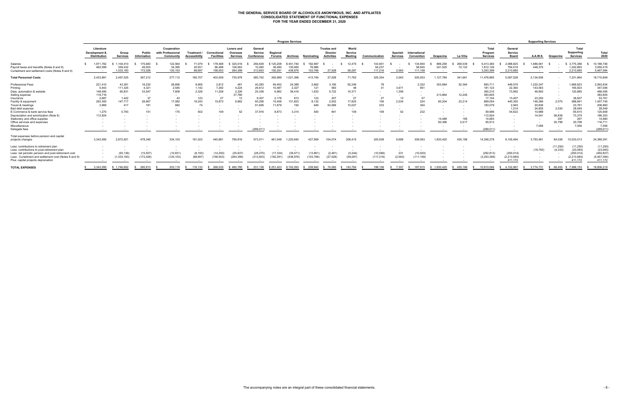#### **THE GENERAL SERVICE BOARD OF ALCOHOLICS ANONYMOUS, INC. AND AFFILIATES CONSOLIDATED STATEMENT OF FUNCTIONAL EXPENSES FOR THE YEAR ENDED DECEMBER 31, 2020**

|                                                                                                            | <b>Program Services</b>                     |                                 |                             |                                              |                            |                                   |                                           |                                  |                              |                                 |                              |                                              |                                    |                   |                            |                              |                    |                             |                                    |                                    |                                |           |                                        |                                      |
|------------------------------------------------------------------------------------------------------------|---------------------------------------------|---------------------------------|-----------------------------|----------------------------------------------|----------------------------|-----------------------------------|-------------------------------------------|----------------------------------|------------------------------|---------------------------------|------------------------------|----------------------------------------------|------------------------------------|-------------------|----------------------------|------------------------------|--------------------|-----------------------------|------------------------------------|------------------------------------|--------------------------------|-----------|----------------------------------------|--------------------------------------|
|                                                                                                            | Literature<br>Development &<br>Distribution | Group<br><b>Services</b>        | Public<br>Information       | Cooperation<br>with Professiona<br>Community | Treatment<br>Accessibility | Correctional<br><b>Facilities</b> | Loners and<br>Overseas<br><b>Services</b> | General<br>Service<br>Conference | Regional<br><b>Forums</b>    | Archives                        | Nominating                   | <b>Trustee and</b><br>Director<br>Activities | World<br>Service<br><b>Meeting</b> | Communication     | Spanish<br><b>Services</b> | International<br>Convention  | Grapevine          | La Viña                     | Total<br>Program<br>Services       | General<br>Service<br><b>Board</b> | A.A.W.S                        | Grapevine | Total<br>Supporting<br><b>Services</b> | Total<br>2020                        |
| Salaries<br>Payroll taxes and benefits (Notes 8 and 9)<br>Curtailment and settlement costs (Notes 8 and 9) | 1.971.782<br>462,099<br>$\sim$              | 104.410<br>359,432<br>1.033.183 | 175,683<br>49,503<br>172.02 | 122,564<br>34,395<br>120,153                 | 20,931<br>68.697           | 178.468<br>66,488<br>158,553      | 325,516<br>126,063<br>284,399             | 256.839<br>10,260<br>313,603     | 125.208<br>38,490<br>192.291 | \$451.740<br>130,650<br>438.976 | 182,997<br>76,986<br>153.766 | 27.528                                       | 12.475<br>59,287                   | 64,237<br>117,216 | 2,563                      | 134.900<br>58,945<br>111.158 | 886,259<br>241,525 | 269,539<br>72,122<br>$\sim$ | 6,413,360<br>1,812,12<br>3.253.399 | 2,088,825<br>794,518<br>2,213,685  | 1.686.561<br>448,375<br>$\sim$ | $\sim$    | 3,775,386<br>1,242,893<br>2,213,685    | 10,188,746<br>3,055,019<br>5,467,084 |
| <b>Total Personnel Costs</b>                                                                               | 2,433,881                                   | 2,497,025                       | 397,212                     | 277,112                                      | 160,707                    | 403.509                           | 735,978                                   | 580.702                          | 355.989                      | 1.021.366                       | 413.749                      | 27.528                                       | 71,762                             | 325,354           | 2,563                      | 305.003                      | 1.127.784          | 341,661                     | 11,478,885                         | 5,097,028                          | 2,134,936                      |           | 7,231,964                              | 18,710,849                           |
| Professional Fees                                                                                          | 221,410                                     | 43,391                          | 16,230                      | 28,856                                       | 9,906                      | 2,812                             | 481                                       | 40,283                           | 49,402                       | 24,389                          | 2,662                        | 3,195                                        | 92,246                             | 78                |                            | 2,322                        | 303,684            | 52,364                      | 893,71                             | 449,576                            | 1,220,347                      |           | 1,669,923                              | 2,563,634                            |
| Printing                                                                                                   | 5,443                                       | 111,325                         | 4,321                       | 2,545                                        | 1,142                      | 7,292                             | 4,224                                     | 26,612                           | 10,487                       | 2,327                           | 121                          | 583                                          | 48                                 | 31                | 3,671                      | 951                          |                    |                             | 181,123                            | 22,360                             | 143,563                        |           | 165,923                                | 347,046                              |
| Data, automation & website                                                                                 | 148,495                                     | 65,831                          | 33,547                      | 7,608                                        | 2,326                      | 11,259                            | 2,326                                     | 25,338                           | 6,982                        | 36,416                          | 1,633                        | 5,722                                        | 16,37'                             |                   | 1,356                      |                              |                    |                             | 365,210                            | 73,992                             | 46,893                         |           | 120,885                                | 486,095                              |
| Selling expense                                                                                            | 119,716                                     | $\sim$                          |                             |                                              |                            |                                   | 37,780                                    |                                  |                              |                                 |                              |                                              |                                    |                   |                            |                              | 213,864            | 12,245                      | 383,605                            |                                    | $\sim$                         |           |                                        | 383,605                              |
| Insurance                                                                                                  | 2,687                                       | 1,422                           | 37                          | 43                                           | 123                        |                                   | - 13                                      | 9,307                            | 2,178                        | 813                             | 123                          | 207                                          | 27                                 | 27                |                            | 57                           |                    | $\sim$                      | 17,104                             | 13,407                             | 23,250                         |           | 36,657                                 | 53,761                               |
| Facility & equipment                                                                                       | 293,300                                     | 147,717                         | 26,667                      | 17,082                                       | 16,243                     | 15,873                            | 9,962                                     | 60,258                           | 15,458                       | 131,823                         | 8,132                        | 2,932                                        | 17,825                             | 106               | 2,034                      | 224                          | 80,204             | 23,214                      | 869,054                            | 440,350                            | 146,266                        | 2,075     | 588,69                                 | 1,457,745                            |
| Travel & meetings                                                                                          | 3,969                                       | 417                             | 18 <sup>°</sup>             | 682                                          | 74                         |                                   |                                           | 91.606                           | 11,679                       | 192                             | 649                          | 63,066                                       | 10,027                             | 233               |                            | 304                          |                    |                             | 183,079                            | 2,945                              | 20,836                         |           | 23,78                                  | 206,860                              |
| Bad debt expense                                                                                           |                                             | $\sim$                          |                             |                                              |                            |                                   |                                           |                                  |                              |                                 |                              |                                              |                                    |                   |                            |                              |                    |                             |                                    | 1,214                              | 24,805                         | 2,030     | 28,049                                 | 28,049                               |
| E-Commerce & bank service fees                                                                             | 1,270                                       | 5,793                           | 151                         | 175                                          | 502                        | 109                               | 52                                        | 37.916                           | 8.873                        | 3.314                           | 500                          | 841                                          | 109                                | 109               | 52                         | 232                          |                    |                             | 59,998                             | 54,622                             | 10,988                         |           | 65,610                                 | 125,608                              |
| Depreciation and amortization (Note 6)                                                                     | 112,924                                     | $\sim$                          |                             |                                              |                            |                                   |                                           |                                  |                              |                                 |                              |                                              |                                    |                   |                            |                              |                    |                             | 112,924                            |                                    | 14,541                         | 58,838    | 73,379                                 | 186,303                              |
| Stationery and office supplies                                                                             |                                             |                                 |                             |                                              |                            |                                   |                                           |                                  |                              |                                 |                              |                                              |                                    |                   |                            |                              | 14.488             | 195                         | 14,683                             |                                    |                                | 297       | 297                                    | 14,980                               |
| Office services and expenses                                                                               |                                             |                                 |                             |                                              |                            |                                   |                                           |                                  |                              |                                 |                              |                                              |                                    |                   |                            |                              | 90,396             | 5,517                       | 95,913                             |                                    | $\sim$                         | 20,798    | 20,798                                 | 116,711                              |
| Miscellaneous                                                                                              |                                             |                                 |                             |                                              |                            |                                   |                                           |                                  |                              |                                 |                              |                                              |                                    |                   |                            |                              |                    |                             |                                    |                                    | 7,056                          |           | 7,056                                  | 7,056                                |
| Delegate fees                                                                                              |                                             |                                 |                             |                                              |                            |                                   |                                           | (299.011)                        |                              |                                 |                              |                                              |                                    |                   |                            |                              |                    |                             | (299.011)                          |                                    |                                |           |                                        | (299, 011)                           |
| Total expenses before pension and capital                                                                  |                                             |                                 |                             |                                              |                            |                                   |                                           |                                  |                              |                                 |                              |                                              |                                    |                   |                            |                              |                    |                             |                                    |                                    |                                |           |                                        |                                      |
| projects changes                                                                                           | 3,343,095                                   | 2,872,921                       | 478,346                     | 334,103                                      | 191.023                    | 440,881                           | 790,816                                   | 573,01                           | 461.048                      | 1,220,640                       | 427,569                      | 104.074                                      | 208,415                            | 325,938           | 9,689                      | 309,093                      | 1,830,420          | 435,196                     | 14,356,278                         | 6,155,494                          | 3,793,481                      | 84,038    | 10,033,013                             | 24,389,291                           |
| Less: contributions to retirement plan                                                                     |                                             |                                 |                             |                                              |                            |                                   |                                           |                                  |                              |                                 |                              |                                              |                                    |                   |                            |                              |                    |                             |                                    |                                    | $\overline{\phantom{0}}$       | (11,250)  | (11, 250)                              | (11, 250)                            |
| Less: contributions to post-retirement plan                                                                |                                             |                                 |                             | $\sim$                                       |                            |                                   |                                           |                                  |                              |                                 |                              |                                              |                                    |                   |                            |                              |                    |                             |                                    | $\sim$                             | (18, 750)                      | (4, 333)  | (23,083)                               | (23,083)                             |
| Less: net periodic pension and post-retirement cost                                                        |                                             | (93, 136)                       | (15, 507)                   | (10, 831)                                    | (6, 193)                   | (14, 293)                         | (25, 637)                                 | (28, 270)                        | (17, 334)                    | (39, 571)                       | (13, 861)                    | (2, 481)                                     | (5, 344)                           | (10, 566)         | 231                        | (10,020)                     |                    |                             | (292, 813)                         | (200, 014)                         |                                |           | (200, 014)                             | (492,827)                            |
| Less: Curtailment and settlement cost (Notes 8 and 9)                                                      |                                             | (1,033,183)                     | (172, 026)                  | (120, 153)                                   | (68.697                    | (158, 553)                        | (284.399)                                 | (313.603)                        | 192.291                      | (438.976)                       | (153, 766)                   | (27.528)                                     | (59, 287)                          | (117, 216)        | (2, 563)                   | (111, 158)                   |                    |                             | (3,253,399)                        | (2, 213, 685)                      |                                |           | (2, 213, 685)                          | (5,467,084)                          |
| Plus: capital projects depreciation                                                                        |                                             |                                 |                             | $\sim$                                       |                            |                                   |                                           |                                  |                              |                                 |                              |                                              |                                    | $\sim$            | $\sim$                     |                              |                    |                             |                                    | 411.172                            | $\sim$                         |           | 411.172                                | 411.172                              |
| <b>TOTAL EXPENSES</b>                                                                                      | 3,343,095                                   | 1,746,602                       | 290,813                     | 203,119                                      | 116,133                    | 268,035                           | \$480,780                                 | 231,138                          | \$251,423                    | \$742,093                       | 259,942                      | \$74,065                                     | 143,784                            | 198,156           | 7,357                      | 187,915                      | 1,830,420          | 435,196                     | 10,810,066                         | 4,152,967                          | 3,774,731                      |           | 68,455 \$ 7,996,153                    | 18,806,219                           |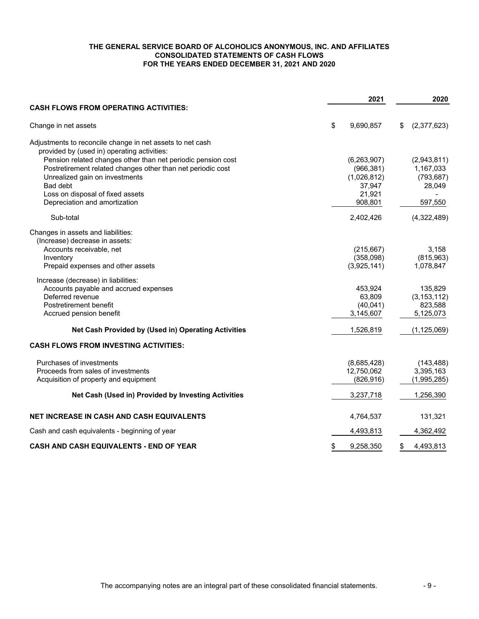#### **THE GENERAL SERVICE BOARD OF ALCOHOLICS ANONYMOUS, INC. AND AFFILIATES CONSOLIDATED STATEMENTS OF CASH FLOWS FOR THE YEARS ENDED DECEMBER 31, 2021 AND 2020**

|                                                              | 2021                    | 2020                     |
|--------------------------------------------------------------|-------------------------|--------------------------|
| <b>CASH FLOWS FROM OPERATING ACTIVITIES:</b>                 |                         |                          |
| Change in net assets                                         | \$<br>9,690,857         | \$<br>(2,377,623)        |
| Adjustments to reconcile change in net assets to net cash    |                         |                          |
| provided by (used in) operating activities:                  |                         |                          |
| Pension related changes other than net periodic pension cost | (6,263,907)             | (2,943,811)              |
| Postretirement related changes other than net periodic cost  | (966, 381)              | 1,167,033                |
| Unrealized gain on investments                               | (1,026,812)             | (793, 687)               |
| Bad debt<br>Loss on disposal of fixed assets                 | 37,947<br>21,921        | 28,049                   |
| Depreciation and amortization                                | 908,801                 | 597,550                  |
|                                                              |                         |                          |
| Sub-total                                                    | 2,402,426               | (4,322,489)              |
| Changes in assets and liabilities:                           |                         |                          |
| (Increase) decrease in assets:                               |                         |                          |
| Accounts receivable, net                                     | (215, 667)<br>(358,098) | 3.158                    |
| Inventory<br>Prepaid expenses and other assets               | (3,925,141)             | (815,963)<br>1,078,847   |
|                                                              |                         |                          |
| Increase (decrease) in liabilities:                          |                         |                          |
| Accounts payable and accrued expenses<br>Deferred revenue    | 453,924<br>63,809       | 135,829<br>(3, 153, 112) |
| Postretirement benefit                                       | (40, 041)               | 823,588                  |
| Accrued pension benefit                                      | 3,145,607               | 5,125,073                |
|                                                              |                         |                          |
| Net Cash Provided by (Used in) Operating Activities          | 1,526,819               | (1, 125, 069)            |
| <b>CASH FLOWS FROM INVESTING ACTIVITIES:</b>                 |                         |                          |
| Purchases of investments                                     | (8,685,428)             | (143, 488)               |
| Proceeds from sales of investments                           | 12,750,062              | 3,395,163                |
| Acquisition of property and equipment                        | (826, 916)              | (1,995,285)              |
| Net Cash (Used in) Provided by Investing Activities          | 3,237,718               | 1,256,390                |
| <b>NET INCREASE IN CASH AND CASH EQUIVALENTS</b>             | 4,764,537               | 131,321                  |
| Cash and cash equivalents - beginning of year                | 4,493,813               | 4,362,492                |
| <b>CASH AND CASH EQUIVALENTS - END OF YEAR</b>               | \$<br>9,258,350         | \$<br>4,493,813          |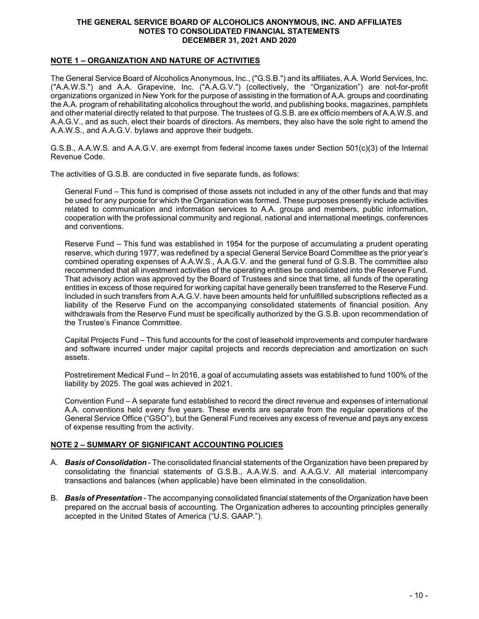# **NOTE 1 – ORGANIZATION AND NATURE OF ACTIVITIES**

The General Service Board of Alcoholics Anonymous, Inc., ("G.S.B.") and its affiliates, A.A. World Services, Inc. ("A.A.W.S.") and A.A. Grapevine, Inc. ("A.A.G.V.") (collectively, the "Organization") are not-for-profit organizations organized in New York for the purpose of assisting in the formation of A.A. groups and coordinating the A.A. program of rehabilitating alcoholics throughout the world, and publishing books, magazines, pamphlets and other material directly related to that purpose. The trustees of G.S.B. are ex officio members of A.A.W.S. and A.A.G.V., and as such, elect their boards of directors. As members, they also have the sole right to amend the A.A.W.S., and A.A.G.V. bylaws and approve their budgets.

G.S.B., A.A.W.S. and A.A.G.V. are exempt from federal income taxes under Section 501(c)(3) of the Internal Revenue Code.

The activities of G.S.B. are conducted in five separate funds, as follows:

General Fund – This fund is comprised of those assets not included in any of the other funds and that may be used for any purpose for which the Organization was formed. These purposes presently include activities related to communication and information services to A.A. groups and members, public information, cooperation with the professional community and regional, national and international meetings, conferences and conventions.

Reserve Fund – This fund was established in 1954 for the purpose of accumulating a prudent operating reserve, which during 1977, was redefined by a special General Service Board Committee as the prior year's combined operating expenses of A.A.W.S., A.A.G.V. and the general fund of G.S.B. The committee also recommended that all investment activities of the operating entities be consolidated into the Reserve Fund. That advisory action was approved by the Board of Trustees and since that time, all funds of the operating entities in excess of those required for working capital have generally been transferred to the Reserve Fund. Included in such transfers from A.A.G.V. have been amounts held for unfulfilled subscriptions reflected as a liability of the Reserve Fund on the accompanying consolidated statements of financial position. Any withdrawals from the Reserve Fund must be specifically authorized by the G.S.B. upon recommendation of the Trustee's Finance Committee.

Capital Projects Fund – This fund accounts for the cost of leasehold improvements and computer hardware and software incurred under major capital projects and records depreciation and amortization on such assets.

Postretirement Medical Fund – In 2016, a goal of accumulating assets was established to fund 100% of the liability by 2025. The goal was achieved in 2021.

Convention Fund – A separate fund established to record the direct revenue and expenses of international A.A. conventions held every five years. These events are separate from the regular operations of the General Service Office ("GSO"), but the General Fund receives any excess of revenue and pays any excess of expense resulting from the activity.

# **NOTE 2 – SUMMARY OF SIGNIFICANT ACCOUNTING POLICIES**

- A. *Basis of Consolidation* The consolidated financial statements of the Organization have been prepared by consolidating the financial statements of G.S.B., A.A.W.S. and A.A.G.V. All material intercompany transactions and balances (when applicable) have been eliminated in the consolidation.
- B. *Basis of Presentation* The accompanying consolidated financial statements of the Organization have been prepared on the accrual basis of accounting. The Organization adheres to accounting principles generally accepted in the United States of America ("U.S. GAAP.").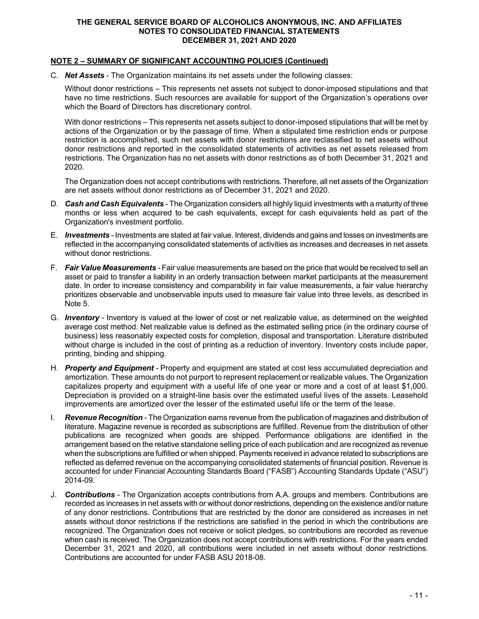## **NOTE 2 – SUMMARY OF SIGNIFICANT ACCOUNTING POLICIES (Continued)**

C. *Net Assets* - The Organization maintains its net assets under the following classes:

Without donor restrictions – This represents net assets not subject to donor-imposed stipulations and that have no time restrictions. Such resources are available for support of the Organization's operations over which the Board of Directors has discretionary control.

With donor restrictions – This represents net assets subject to donor-imposed stipulations that will be met by actions of the Organization or by the passage of time. When a stipulated time restriction ends or purpose restriction is accomplished, such net assets with donor restrictions are reclassified to net assets without donor restrictions and reported in the consolidated statements of activities as net assets released from restrictions. The Organization has no net assets with donor restrictions as of both December 31, 2021 and 2020.

The Organization does not accept contributions with restrictions. Therefore, all net assets of the Organization are net assets without donor restrictions as of December 31, 2021 and 2020.

- D. *Cash and Cash Equivalents -* The Organization considers all highly liquid investments with a maturity of three months or less when acquired to be cash equivalents, except for cash equivalents held as part of the Organization's investment portfolio.
- E. *Investments -* Investments are stated at fair value. Interest, dividends and gains and losses on investments are reflected in the accompanying consolidated statements of activities as increases and decreases in net assets without donor restrictions.
- F. *Fair Value Measurements -* Fair value measurements are based on the price that would be received to sell an asset or paid to transfer a liability in an orderly transaction between market participants at the measurement date. In order to increase consistency and comparability in fair value measurements, a fair value hierarchy prioritizes observable and unobservable inputs used to measure fair value into three levels, as described in Note 5.
- G. *Inventory* Inventory is valued at the lower of cost or net realizable value, as determined on the weighted average cost method. Net realizable value is defined as the estimated selling price (in the ordinary course of business) less reasonably expected costs for completion, disposal and transportation. Literature distributed without charge is included in the cost of printing as a reduction of inventory. Inventory costs include paper, printing, binding and shipping.
- H. *Property and Equipment -* Property and equipment are stated at cost less accumulated depreciation and amortization. These amounts do not purport to represent replacement or realizable values. The Organization capitalizes property and equipment with a useful life of one year or more and a cost of at least \$1,000. Depreciation is provided on a straight-line basis over the estimated useful lives of the assets. Leasehold improvements are amortized over the lesser of the estimated useful life or the term of the lease.
- I. *Revenue Recognition -* The Organization earns revenue from the publication of magazines and distribution of literature. Magazine revenue is recorded as subscriptions are fulfilled. Revenue from the distribution of other publications are recognized when goods are shipped. Performance obligations are identified in the arrangement based on the relative standalone selling price of each publication and are recognized as revenue when the subscriptions are fulfilled or when shipped. Payments received in advance related to subscriptions are reflected as deferred revenue on the accompanying consolidated statements of financial position. Revenue is accounted for under Financial Accounting Standards Board ("FASB") Accounting Standards Update ("ASU") 2014-09.
- J. *Contributions* The Organization accepts contributions from A.A. groups and members. Contributions are recorded as increases in net assets with or without donor restrictions, depending on the existence and/or nature of any donor restrictions. Contributions that are restricted by the donor are considered as increases in net assets without donor restrictions if the restrictions are satisfied in the period in which the contributions are recognized. The Organization does not receive or solicit pledges, so contributions are recorded as revenue when cash is received. The Organization does not accept contributions with restrictions. For the years ended December 31, 2021 and 2020, all contributions were included in net assets without donor restrictions. Contributions are accounted for under FASB ASU 2018-08.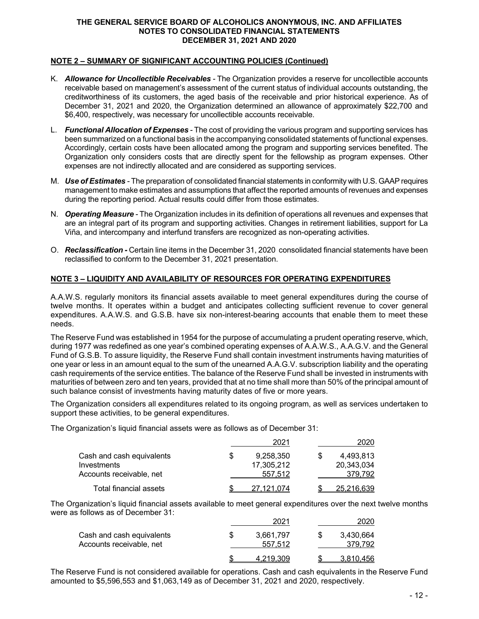### **NOTE 2 – SUMMARY OF SIGNIFICANT ACCOUNTING POLICIES (Continued)**

- K. *Allowance for Uncollectible Receivables -* The Organization provides a reserve for uncollectible accounts receivable based on management's assessment of the current status of individual accounts outstanding, the creditworthiness of its customers, the aged basis of the receivable and prior historical experience. As of December 31, 2021 and 2020, the Organization determined an allowance of approximately \$22,700 and \$6,400, respectively, was necessary for uncollectible accounts receivable.
- L. *Functional Allocation of Expenses -* The cost of providing the various program and supporting services has been summarized on a functional basis in the accompanying consolidated statements of functional expenses. Accordingly, certain costs have been allocated among the program and supporting services benefited. The Organization only considers costs that are directly spent for the fellowship as program expenses. Other expenses are not indirectly allocated and are considered as supporting services.
- M. *Use of Estimates -* The preparation of consolidated financial statements in conformity with U.S. GAAPrequires management to make estimates and assumptions that affect the reported amounts of revenues and expenses during the reporting period. Actual results could differ from those estimates.
- N. *Operating Measure -* The Organization includes in its definition of operations all revenues and expenses that are an integral part of its program and supporting activities. Changes in retirement liabilities, support for La Viña, and intercompany and interfund transfers are recognized as non-operating activities.
- O. *Reclassification -* Certain line items in the December 31, 2020 consolidated financial statements have been reclassified to conform to the December 31, 2021 presentation.

# **NOTE 3 – LIQUIDITY AND AVAILABILITY OF RESOURCES FOR OPERATING EXPENDITURES**

A.A.W.S. regularly monitors its financial assets available to meet general expenditures during the course of twelve months. It operates within a budget and anticipates collecting sufficient revenue to cover general expenditures. A.A.W.S. and G.S.B. have six non-interest-bearing accounts that enable them to meet these needs.

The Reserve Fund was established in 1954 for the purpose of accumulating a prudent operating reserve, which, during 1977 was redefined as one year's combined operating expenses of A.A.W.S., A.A.G.V. and the General Fund of G.S.B. To assure liquidity, the Reserve Fund shall contain investment instruments having maturities of one year or less in an amount equal to the sum of the unearned A.A.G.V. subscription liability and the operating cash requirements of the service entities. The balance of the Reserve Fund shall be invested in instruments with maturities of between zero and ten years, provided that at no time shall more than 50% of the principal amount of such balance consist of investments having maturity dates of five or more years.

The Organization considers all expenditures related to its ongoing program, as well as services undertaken to support these activities, to be general expenditures.

The Organization's liquid financial assets were as follows as of December 31:

|                           | 2021            |   | 2020       |
|---------------------------|-----------------|---|------------|
| Cash and cash equivalents | \$<br>9,258,350 | S | 4.493.813  |
| Investments               | 17.305.212      |   | 20.343.034 |
| Accounts receivable, net  | 557,512         |   | 379.792    |
| Total financial assets    | .121.074        |   | 25,216,639 |

The Organization's liquid financial assets available to meet general expenditures over the next twelve months were as follows as of December 31:

|                                                       |   | 2021                 |    | 2020                 |
|-------------------------------------------------------|---|----------------------|----|----------------------|
| Cash and cash equivalents<br>Accounts receivable, net | S | 3,661,797<br>557.512 | £. | 3,430,664<br>379.792 |
|                                                       |   | 4.219.309            |    | 3.810.456            |

The Reserve Fund is not considered available for operations. Cash and cash equivalents in the Reserve Fund amounted to \$5,596,553 and \$1,063,149 as of December 31, 2021 and 2020, respectively.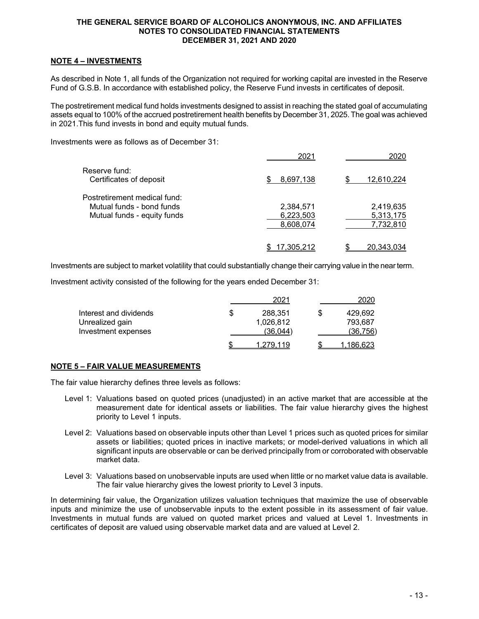# **NOTE 4 – INVESTMENTS**

As described in Note 1, all funds of the Organization not required for working capital are invested in the Reserve Fund of G.S.B. In accordance with established policy, the Reserve Fund invests in certificates of deposit.

The postretirement medical fund holds investments designed to assist in reaching the stated goal of accumulating assets equal to 100% of the accrued postretirement health benefits by December 31, 2025. The goal was achieved in 2021.This fund invests in bond and equity mutual funds.

Investments were as follows as of December 31:

|                                                                                          | 2021                                | 2020                                |
|------------------------------------------------------------------------------------------|-------------------------------------|-------------------------------------|
| Reserve fund:<br>Certificates of deposit                                                 | 8,697,138                           | 12,610,224                          |
| Postretirement medical fund:<br>Mutual funds - bond funds<br>Mutual funds - equity funds | 2,384,571<br>6,223,503<br>8,608,074 | 2,419,635<br>5,313,175<br>7,732,810 |
|                                                                                          | <u>17,305,212</u>                   | <u>20,343,034</u>                   |

Investments are subject to market volatility that could substantially change their carrying value in the near term.

Investment activity consisted of the following for the years ended December 31:

|                        |   | 2021      | 2020      |
|------------------------|---|-----------|-----------|
| Interest and dividends | S | 288.351   | 429,692   |
| Unrealized gain        |   | 1,026,812 | 793.687   |
| Investment expenses    |   | (36, 044) | (36, 756) |
|                        |   | 1.279.119 | .186.623  |

# **NOTE 5 – FAIR VALUE MEASUREMENTS**

The fair value hierarchy defines three levels as follows:

- Level 1: Valuations based on quoted prices (unadjusted) in an active market that are accessible at the measurement date for identical assets or liabilities. The fair value hierarchy gives the highest priority to Level 1 inputs.
- Level 2: Valuations based on observable inputs other than Level 1 prices such as quoted prices for similar assets or liabilities; quoted prices in inactive markets; or model-derived valuations in which all significant inputs are observable or can be derived principally from or corroborated with observable market data.
- Level 3: Valuations based on unobservable inputs are used when little or no market value data is available. The fair value hierarchy gives the lowest priority to Level 3 inputs.

In determining fair value, the Organization utilizes valuation techniques that maximize the use of observable inputs and minimize the use of unobservable inputs to the extent possible in its assessment of fair value. Investments in mutual funds are valued on quoted market prices and valued at Level 1. Investments in certificates of deposit are valued using observable market data and are valued at Level 2.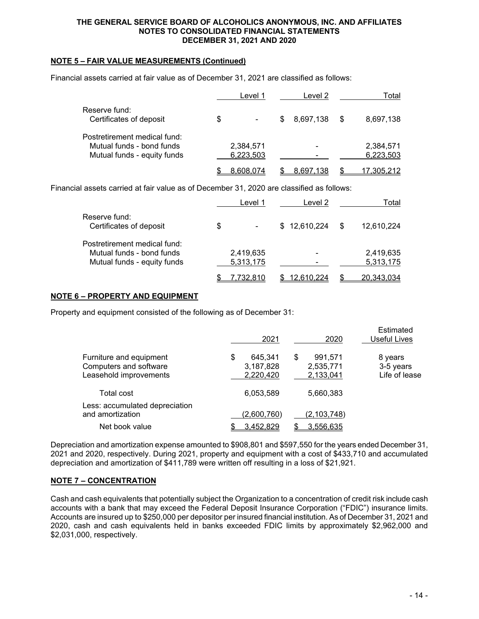# **NOTE 5 – FAIR VALUE MEASUREMENTS (Continued)**

|                                                                                          | Level 1                |   | Level 2   | Total                  |
|------------------------------------------------------------------------------------------|------------------------|---|-----------|------------------------|
| Reserve fund:<br>Certificates of deposit                                                 | \$                     | S | 8.697.138 | 8,697,138              |
| Postretirement medical fund:<br>Mutual funds - bond funds<br>Mutual funds - equity funds | 2,384,571<br>6,223,503 |   |           | 2,384,571<br>6,223,503 |
|                                                                                          | 8.608.074              |   | 8.697.138 | 17.305.212             |

Financial assets carried at fair value as of December 31, 2021 are classified as follows:

Financial assets carried at fair value as of December 31, 2020 are classified as follows:

|                                                                                          | Level 1                | Level 2      |   | Total                  |
|------------------------------------------------------------------------------------------|------------------------|--------------|---|------------------------|
| Reserve fund:<br>Certificates of deposit                                                 | \$                     | \$12,610,224 | S | 12,610,224             |
| Postretirement medical fund:<br>Mutual funds - bond funds<br>Mutual funds - equity funds | 2,419,635<br>5,313,175 |              |   | 2,419,635<br>5,313,175 |
|                                                                                          | .732.810               | 12.610.224   |   | 20.343.034             |

# **NOTE 6 – PROPERTY AND EQUIPMENT**

Property and equipment consisted of the following as of December 31:

|                                                    | 2021          |   | 2020          | Estimated<br><b>Useful Lives</b> |
|----------------------------------------------------|---------------|---|---------------|----------------------------------|
| Furniture and equipment                            | \$<br>645.341 | S | 991,571       | 8 years                          |
| Computers and software                             | 3,187,828     |   | 2,535,771     | 3-5 years                        |
| Leasehold improvements                             | 2,220,420     |   | 2,133,041     | Life of lease                    |
| Total cost                                         | 6,053,589     |   | 5,660,383     |                                  |
| Less: accumulated depreciation<br>and amortization |               |   |               |                                  |
|                                                    | (2,600,760)   |   | (2, 103, 748) |                                  |
| Net book value                                     | 3,452,829     |   | 3,556,635     |                                  |

Depreciation and amortization expense amounted to \$908,801 and \$597,550 for the years ended December 31, 2021 and 2020, respectively. During 2021, property and equipment with a cost of \$433,710 and accumulated depreciation and amortization of \$411,789 were written off resulting in a loss of \$21,921.

# **NOTE 7 – CONCENTRATION**

Cash and cash equivalents that potentially subject the Organization to a concentration of credit risk include cash accounts with a bank that may exceed the Federal Deposit Insurance Corporation ("FDIC") insurance limits. Accounts are insured up to \$250,000 per depositor per insured financial institution. As of December 31, 2021 and 2020, cash and cash equivalents held in banks exceeded FDIC limits by approximately \$2,962,000 and \$2,031,000, respectively.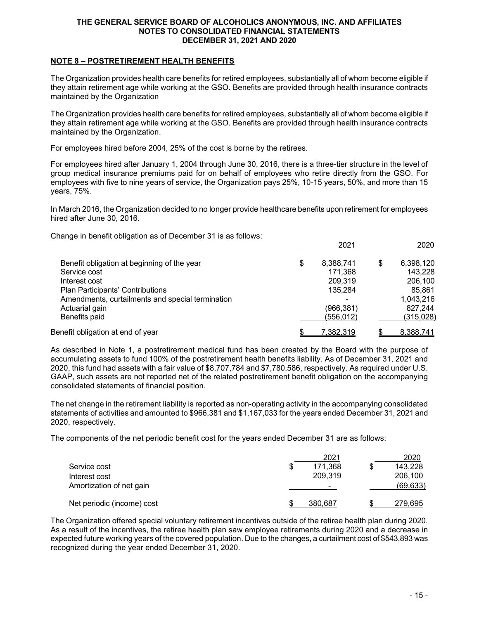# **NOTE 8 – POSTRETIREMENT HEALTH BENEFITS**

The Organization provides health care benefits for retired employees, substantially all of whom become eligible if they attain retirement age while working at the GSO. Benefits are provided through health insurance contracts maintained by the Organization

The Organization provides health care benefits for retired employees, substantially all of whom become eligible if they attain retirement age while working at the GSO. Benefits are provided through health insurance contracts maintained by the Organization.

For employees hired before 2004, 25% of the cost is borne by the retirees.

For employees hired after January 1, 2004 through June 30, 2016, there is a three-tier structure in the level of group medical insurance premiums paid for on behalf of employees who retire directly from the GSO. For employees with five to nine years of service, the Organization pays 25%, 10-15 years, 50%, and more than 15 years, 75%.

In March 2016, the Organization decided to no longer provide healthcare benefits upon retirement for employees hired after June 30, 2016.

Change in benefit obligation as of December 31 is as follows:

|                                                  | 2021                     | 2020            |
|--------------------------------------------------|--------------------------|-----------------|
| Benefit obligation at beginning of the year      | \$<br>8,388,741          | \$<br>6,398,120 |
| Service cost                                     | 171.368                  | 143,228         |
| Interest cost                                    | 209,319                  | 206,100         |
| Plan Participants' Contributions                 | 135,284                  | 85,861          |
| Amendments, curtailments and special termination | $\overline{\phantom{0}}$ | 1,043,216       |
| Actuarial gain                                   | (966, 381)               | 827,244         |
| Benefits paid                                    | (556, 012)               | (315, 028)      |
| Benefit obligation at end of year                | 7.382.319                | 8.388.741       |

As described in Note 1, a postretirement medical fund has been created by the Board with the purpose of accumulating assets to fund 100% of the postretirement health benefits liability. As of December 31, 2021 and 2020, this fund had assets with a fair value of \$8,707,784 and \$7,780,586, respectively. As required under U.S. GAAP, such assets are not reported net of the related postretirement benefit obligation on the accompanying consolidated statements of financial position.

The net change in the retirement liability is reported as non-operating activity in the accompanying consolidated statements of activities and amounted to \$966,381 and \$1,167,033 for the years ended December 31, 2021 and 2020, respectively.

The components of the net periodic benefit cost for the years ended December 31 are as follows:

|                            |   | 2021           | 2020     |
|----------------------------|---|----------------|----------|
| Service cost               | S | 171.368        | 143,228  |
| Interest cost              |   | 209.319        | 206.100  |
| Amortization of net gain   |   | $\blacksquare$ | (69,633) |
| Net periodic (income) cost |   | 380.687        | 279,695  |

The Organization offered special voluntary retirement incentives outside of the retiree health plan during 2020. As a result of the incentives, the retiree health plan saw employee retirements during 2020 and a decrease in expected future working years of the covered population. Due to the changes, a curtailment cost of \$543,893 was recognized during the year ended December 31, 2020.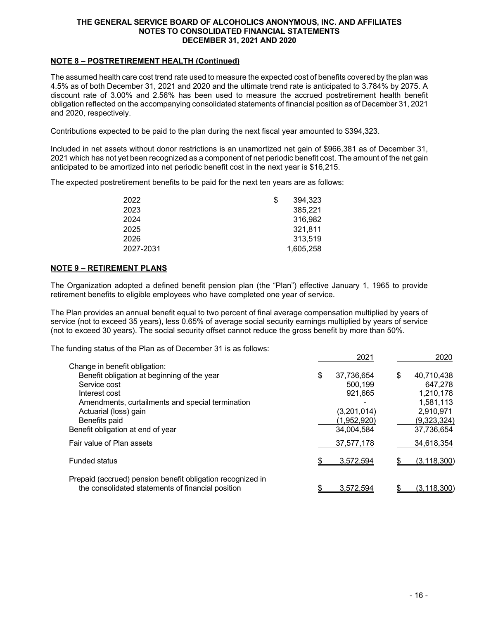# **NOTE 8 – POSTRETIREMENT HEALTH (Continued)**

The assumed health care cost trend rate used to measure the expected cost of benefits covered by the plan was 4.5% as of both December 31, 2021 and 2020 and the ultimate trend rate is anticipated to 3.784% by 2075. A discount rate of 3.00% and 2.56% has been used to measure the accrued postretirement health benefit obligation reflected on the accompanying consolidated statements of financial position as of December 31, 2021 and 2020, respectively.

Contributions expected to be paid to the plan during the next fiscal year amounted to \$394,323.

Included in net assets without donor restrictions is an unamortized net gain of \$966,381 as of December 31, 2021 which has not yet been recognized as a component of net periodic benefit cost. The amount of the net gain anticipated to be amortized into net periodic benefit cost in the next year is \$16,215.

The expected postretirement benefits to be paid for the next ten years are as follows:

| 2022      | 394.323   |
|-----------|-----------|
| 2023      | 385,221   |
| 2024      | 316.982   |
| 2025      | 321,811   |
| 2026      | 313.519   |
| 2027-2031 | 1,605,258 |

#### **NOTE 9 – RETIREMENT PLANS**

The Organization adopted a defined benefit pension plan (the "Plan") effective January 1, 1965 to provide retirement benefits to eligible employees who have completed one year of service.

The Plan provides an annual benefit equal to two percent of final average compensation multiplied by years of service (not to exceed 35 years), less 0.65% of average social security earnings multiplied by years of service (not to exceed 30 years). The social security offset cannot reduce the gross benefit by more than 50%.

The funding status of the Plan as of December 31 is as follows:

|                                                            | 2021             | 2020               |
|------------------------------------------------------------|------------------|--------------------|
| Change in benefit obligation:                              |                  |                    |
| Benefit obligation at beginning of the year                | \$<br>37,736,654 | \$<br>40,710,438   |
| Service cost                                               | 500,199          | 647,278            |
| Interest cost                                              | 921.665          | 1,210,178          |
| Amendments, curtailments and special termination           |                  | 1,581,113          |
| Actuarial (loss) gain                                      | (3,201,014)      | 2,910,971          |
| Benefits paid                                              | (1,952,920)      | <u>(9,323,324)</u> |
| Benefit obligation at end of year                          | 34,004,584       | 37,736,654         |
| Fair value of Plan assets                                  | 37,577,178       | 34,618,354         |
| <b>Funded status</b>                                       | 3,572,594        | (3, 118, 300)      |
| Prepaid (accrued) pension benefit obligation recognized in |                  |                    |
| the consolidated statements of financial position          | 3.572.594        | <u>(3,118,300)</u> |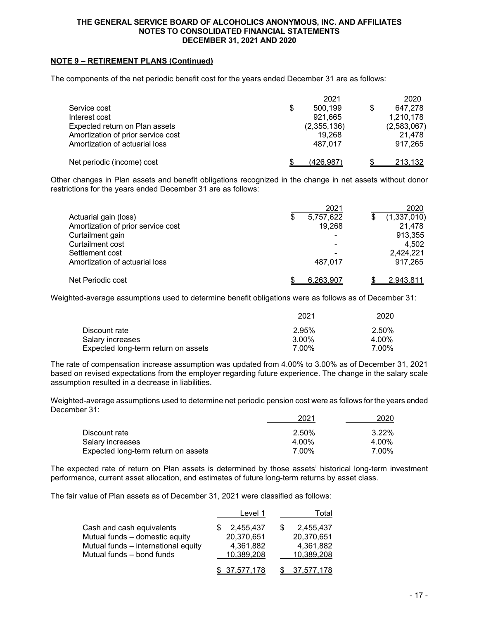## **NOTE 9 – RETIREMENT PLANS (Continued)**

The components of the net periodic benefit cost for the years ended December 31 are as follows:

|                                    | 2021          | 2020            |
|------------------------------------|---------------|-----------------|
| Service cost                       | 500,199<br>\$ | 647.278         |
| Interest cost                      | 921,665       | 1,210,178       |
| Expected return on Plan assets     | (2,355,136)   | (2,583,067)     |
| Amortization of prior service cost | 19.268        | 21.478          |
| Amortization of actuarial loss     | 487,017       | 917,265         |
| Net periodic (income) cost         | (426.987)     | <u> 213,132</u> |

Other changes in Plan assets and benefit obligations recognized in the change in net assets without donor restrictions for the years ended December 31 are as follows:

|                                    | 2021           | 2020        |
|------------------------------------|----------------|-------------|
| Actuarial gain (loss)              | 5,757,622<br>S | (1,337,010) |
| Amortization of prior service cost | 19.268         | 21.478      |
| Curtailment gain                   |                | 913,355     |
| Curtailment cost                   |                | 4.502       |
| Settlement cost                    |                | 2,424,221   |
| Amortization of actuarial loss     | 487.017        | 917,265     |
| Net Periodic cost                  | 6.263.907      | 2,943,811   |

Weighted-average assumptions used to determine benefit obligations were as follows as of December 31:

|                                     | 2021           | 2020              |
|-------------------------------------|----------------|-------------------|
| Discount rate<br>Salary increases   | 2.95%<br>3.00% | $2.50\%$<br>4.00% |
| Expected long-term return on assets | 7.00%          | 7.00%             |

The rate of compensation increase assumption was updated from 4.00% to 3.00% as of December 31, 2021 based on revised expectations from the employer regarding future experience. The change in the salary scale assumption resulted in a decrease in liabilities.

Weighted-average assumptions used to determine net periodic pension cost were as follows for the years ended December 31:

|                                     | 2021  | 2020  |
|-------------------------------------|-------|-------|
| Discount rate                       | 2.50% | 3.22% |
| Salary increases                    | 4.00% | 4.00% |
| Expected long-term return on assets | 7.00% | 7.00% |

The expected rate of return on Plan assets is determined by those assets' historical long-term investment performance, current asset allocation, and estimates of future long-term returns by asset class.

The fair value of Plan assets as of December 31, 2021 were classified as follows:

|                                                                  | Level 1                 | Total                   |
|------------------------------------------------------------------|-------------------------|-------------------------|
| Cash and cash equivalents                                        | 2,455,437               | 2.455.437               |
| Mutual funds - domestic equity                                   | 20,370,651              | 20,370,651              |
| Mutual funds - international equity<br>Mutual funds - bond funds | 4,361,882<br>10,389,208 | 4,361,882<br>10,389,208 |
|                                                                  |                         |                         |
|                                                                  | \$37,577,178            | <u>37,577,178</u>       |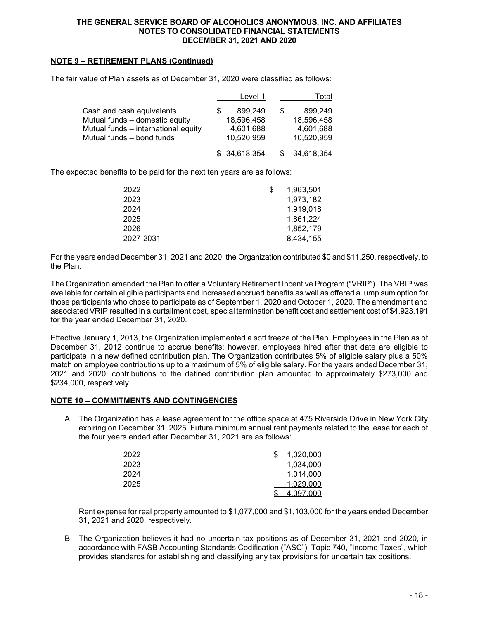## **NOTE 9 – RETIREMENT PLANS (Continued)**

|                                     | Level 1       |   | Total      |
|-------------------------------------|---------------|---|------------|
| Cash and cash equivalents           | 899.249       | S | 899,249    |
| Mutual funds - domestic equity      | 18,596,458    |   | 18,596,458 |
| Mutual funds - international equity | 4,601,688     |   | 4,601,688  |
| Mutual funds - bond funds           | 10,520,959    |   | 10,520,959 |
|                                     | \$ 34.618.354 |   | 34.618.354 |

The fair value of Plan assets as of December 31, 2020 were classified as follows:

The expected benefits to be paid for the next ten years are as follows:

| 2022      | 1,963,501 |
|-----------|-----------|
| 2023      | 1,973,182 |
| 2024      | 1.919.018 |
| 2025      | 1,861,224 |
| 2026      | 1.852.179 |
| 2027-2031 | 8.434.155 |

For the years ended December 31, 2021 and 2020, the Organization contributed \$0 and \$11,250, respectively, to the Plan.

The Organization amended the Plan to offer a Voluntary Retirement Incentive Program ("VRIP"). The VRIP was available for certain eligible participants and increased accrued benefits as well as offered a lump sum option for those participants who chose to participate as of September 1, 2020 and October 1, 2020. The amendment and associated VRIP resulted in a curtailment cost, special termination benefit cost and settlement cost of \$4,923,191 for the year ended December 31, 2020.

Effective January 1, 2013, the Organization implemented a soft freeze of the Plan. Employees in the Plan as of December 31, 2012 continue to accrue benefits; however, employees hired after that date are eligible to participate in a new defined contribution plan. The Organization contributes 5% of eligible salary plus a 50% match on employee contributions up to a maximum of 5% of eligible salary. For the years ended December 31, 2021 and 2020, contributions to the defined contribution plan amounted to approximately \$273,000 and \$234,000, respectively.

# **NOTE 10 – COMMITMENTS AND CONTINGENCIES**

A. The Organization has a lease agreement for the office space at 475 Riverside Drive in New York City expiring on December 31, 2025. Future minimum annual rent payments related to the lease for each of the four years ended after December 31, 2021 are as follows:

| 2022 | 1,020,000 |
|------|-----------|
| 2023 | 1,034,000 |
| 2024 | 1,014,000 |
| 2025 | 1,029,000 |
|      | 4.097.000 |

Rent expense for real property amounted to \$1,077,000 and \$1,103,000 for the years ended December 31, 2021 and 2020, respectively.

B. The Organization believes it had no uncertain tax positions as of December 31, 2021 and 2020, in accordance with FASB Accounting Standards Codification ("ASC") Topic 740, "Income Taxes", which provides standards for establishing and classifying any tax provisions for uncertain tax positions.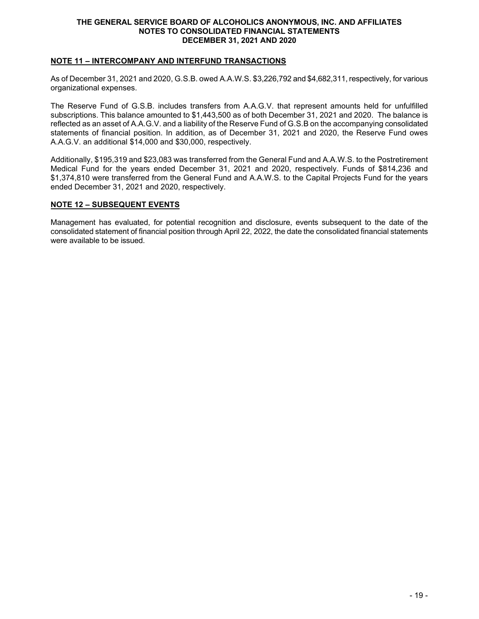## **NOTE 11 – INTERCOMPANY AND INTERFUND TRANSACTIONS**

As of December 31, 2021 and 2020, G.S.B. owed A.A.W.S. \$3,226,792 and \$4,682,311, respectively, for various organizational expenses.

The Reserve Fund of G.S.B. includes transfers from A.A.G.V. that represent amounts held for unfulfilled subscriptions. This balance amounted to \$1,443,500 as of both December 31, 2021 and 2020. The balance is reflected as an asset of A.A.G.V. and a liability of the Reserve Fund of G.S.B on the accompanying consolidated statements of financial position. In addition, as of December 31, 2021 and 2020, the Reserve Fund owes A.A.G.V. an additional \$14,000 and \$30,000, respectively.

Additionally, \$195,319 and \$23,083 was transferred from the General Fund and A.A.W.S. to the Postretirement Medical Fund for the years ended December 31, 2021 and 2020, respectively. Funds of \$814,236 and \$1,374,810 were transferred from the General Fund and A.A.W.S. to the Capital Projects Fund for the years ended December 31, 2021 and 2020, respectively.

# **NOTE 12 – SUBSEQUENT EVENTS**

Management has evaluated, for potential recognition and disclosure, events subsequent to the date of the consolidated statement of financial position through April 22, 2022, the date the consolidated financial statements were available to be issued.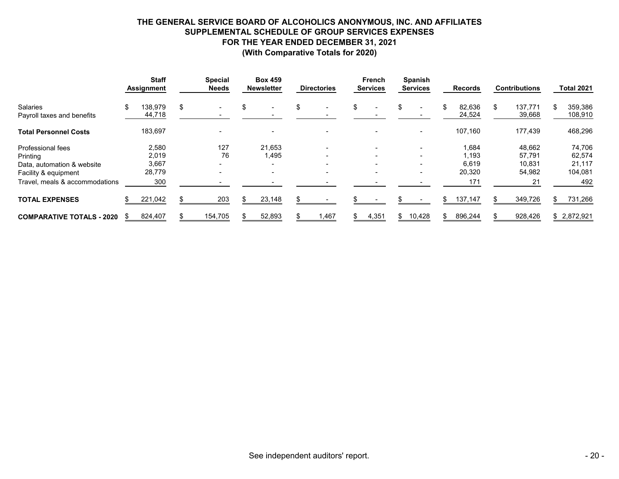# **THE GENERAL SERVICE BOARD OF ALCOHOLICS ANONYMOUS, INC. AND AFFILIATES SUPPLEMENTAL SCHEDULE OF GROUP SERVICES EXPENSES FOR THE YEAR ENDED DECEMBER 31, 2021 (With Comparative Totals for 2020)**

|                                               |    | <b>Staff</b><br><b>Assignment</b> | <b>Special</b><br><b>Needs</b> | <b>Box 459</b><br><b>Newsletter</b> | <b>Directories</b> |    | <b>French</b><br><b>Services</b> | <b>Spanish</b><br><b>Services</b> | <b>Records</b>         |     | <b>Contributions</b> |     | <b>Total 2021</b>  |
|-----------------------------------------------|----|-----------------------------------|--------------------------------|-------------------------------------|--------------------|----|----------------------------------|-----------------------------------|------------------------|-----|----------------------|-----|--------------------|
| <b>Salaries</b><br>Payroll taxes and benefits | \$ | 138,979<br>44,718                 | \$                             |                                     |                    | £. |                                  | \$                                | \$<br>82,636<br>24,524 | \$. | 137,771<br>39,668    | ß.  | 359,386<br>108,910 |
| <b>Total Personnel Costs</b>                  |    | 183,697                           |                                |                                     |                    |    |                                  |                                   | 107,160                |     | 177,439              |     | 468,296            |
| <b>Professional fees</b>                      |    | 2,580                             | 127                            | 21,653                              |                    |    |                                  | $\blacksquare$                    | 1,684                  |     | 48,662               |     | 74,706             |
| Printing                                      |    | 2,019                             | 76                             | 1.495                               |                    |    |                                  |                                   | 1,193                  |     | 57,791               |     | 62,574             |
| Data, automation & website                    |    | 3,667                             |                                |                                     |                    |    |                                  |                                   | 6,619                  |     | 10,831               |     | 21,117             |
| Facility & equipment                          |    | 28,779                            |                                |                                     |                    |    |                                  |                                   | 20,320                 |     | 54,982               |     | 104,081            |
| Travel, meals & accommodations                |    | 300                               |                                |                                     |                    |    |                                  |                                   | 171                    |     | 21                   |     | 492                |
| <b>TOTAL EXPENSES</b>                         |    | 221,042                           | 203                            | 23,148                              |                    |    |                                  |                                   | 137,147                |     | 349,726              |     | 731,266            |
| <b>COMPARATIVE TOTALS - 2020</b>              | S. | 824,407                           | 154,705                        | 52,893                              | 1,467              |    | 4,351                            | 10,428                            | 896,244                |     | 928,426              | \$. | 2,872,921          |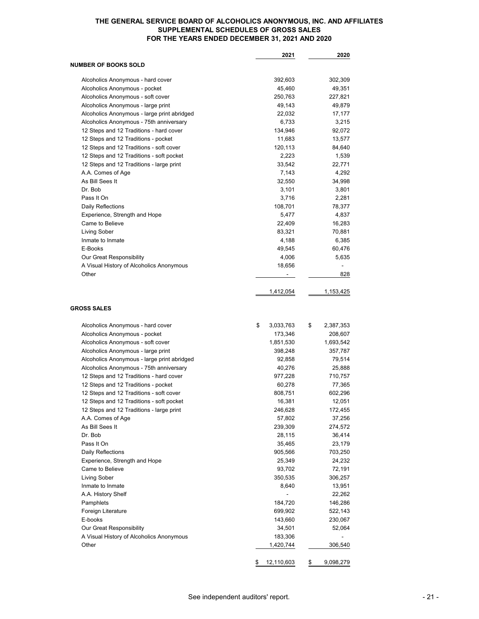#### **THE GENERAL SERVICE BOARD OF ALCOHOLICS ANONYMOUS, INC. AND AFFILIATES SUPPLEMENTAL SCHEDULES OF GROSS SALES FOR THE YEARS ENDED DECEMBER 31, 2021 AND 2020**

|                                                   | 2021                 | 2020                                |
|---------------------------------------------------|----------------------|-------------------------------------|
| NUMBER OF BOOKS SOLD                              |                      |                                     |
| Alcoholics Anonymous - hard cover                 | 392,603              | 302,309                             |
| Alcoholics Anonymous - pocket                     | 45,460               | 49,351                              |
| Alcoholics Anonymous - soft cover                 | 250,763              | 227,821                             |
| Alcoholics Anonymous - large print                | 49,143               | 49,879                              |
| Alcoholics Anonymous - large print abridged       | 22,032               | 17,177                              |
| Alcoholics Anonymous - 75th anniversary           | 6,733                | 3,215                               |
| 12 Steps and 12 Traditions - hard cover           | 134,946              | 92,072                              |
| 12 Steps and 12 Traditions - pocket               | 11,683               | 13,577                              |
| 12 Steps and 12 Traditions - soft cover           | 120,113              | 84,640                              |
| 12 Steps and 12 Traditions - soft pocket          | 2,223                | 1,539                               |
| 12 Steps and 12 Traditions - large print          | 33,542               | 22,771                              |
| A.A. Comes of Age                                 | 7,143                | 4,292                               |
| As Bill Sees It                                   | 32,550               | 34,998                              |
| Dr. Bob                                           | 3,101                | 3,801                               |
| Pass It On                                        | 3,716                | 2,281                               |
| Daily Reflections                                 | 108,701              | 78,377                              |
| Experience, Strength and Hope                     | 5,477                | 4,837                               |
| Came to Believe                                   | 22,409               | 16,283                              |
| Living Sober                                      | 83,321               | 70,881                              |
| Inmate to Inmate                                  | 4,188                | 6,385                               |
| E-Books                                           | 49,545               | 60,476                              |
| Our Great Responsibility                          | 4,006                | 5,635                               |
| A Visual History of Alcoholics Anonymous<br>Other | 18,656               | $\overline{\phantom{a}}$<br>828     |
|                                                   |                      |                                     |
|                                                   | 1,412,054            | 1,153,425                           |
| GROSS SALES                                       |                      |                                     |
| Alcoholics Anonymous - hard cover                 | \$<br>3,033,763      | \$<br>2,387,353                     |
| Alcoholics Anonymous - pocket                     | 173,346              | 208,607                             |
| Alcoholics Anonymous - soft cover                 | 1,851,530            | 1,693,542                           |
| Alcoholics Anonymous - large print                | 398,248              | 357,787                             |
| Alcoholics Anonymous - large print abridged       | 92,858               | 79,514                              |
| Alcoholics Anonymous - 75th anniversary           | 40,276               | 25,888                              |
| 12 Steps and 12 Traditions - hard cover           | 977,228              | 710,757                             |
| 12 Steps and 12 Traditions - pocket               | 60,278               | 77,365                              |
| 12 Steps and 12 Traditions - soft cover           | 808,751              | 602,296                             |
| 12 Steps and 12 Traditions - soft pocket          | 16,381               | 12,051                              |
| 12 Steps and 12 Traditions - large print          | 246,628              | 172,455                             |
| A.A. Comes of Age                                 | 57,802               | 37,256                              |
| As Bill Sees It                                   | 239,309              | 274,572                             |
| Dr. Bob                                           | 28,115               | 36,414                              |
| Pass It On                                        | 35,465               | 23,179                              |
| Daily Reflections                                 | 905,566              | 703,250                             |
| Experience, Strength and Hope                     | 25,349               | 24,232                              |
| Came to Believe                                   | 93,702               | 72,191                              |
| Living Sober                                      | 350,535              | 306,257                             |
| Inmate to Inmate                                  | 8,640                | 13,951                              |
| A.A. History Shelf                                |                      | 22,262                              |
| Pamphlets                                         | 184,720              | 146,286                             |
| Foreign Literature                                | 699,902              | 522,143                             |
| E-books                                           | 143,660              | 230,067                             |
| Our Great Responsibility                          | 34,501               | 52,064                              |
| A Visual History of Alcoholics Anonymous<br>Other | 183,306<br>1,420,744 | $\overline{\phantom{a}}$<br>306,540 |
|                                                   | 12,110,603<br>\$     | 9,098,279<br>\$                     |
|                                                   |                      |                                     |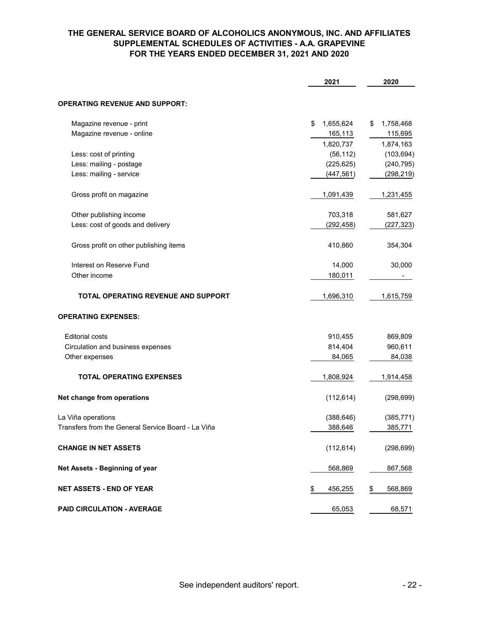# **THE GENERAL SERVICE BOARD OF ALCOHOLICS ANONYMOUS, INC. AND AFFILIATES SUPPLEMENTAL SCHEDULES OF ACTIVITIES - A.A. GRAPEVINE FOR THE YEARS ENDED DECEMBER 31, 2021 AND 2020**

|                                                    | 2021            | 2020            |  |  |
|----------------------------------------------------|-----------------|-----------------|--|--|
| <b>OPERATING REVENUE AND SUPPORT:</b>              |                 |                 |  |  |
| Magazine revenue - print                           | \$<br>1,655,624 | 1,758,468<br>\$ |  |  |
| Magazine revenue - online                          | 165,113         | 115,695         |  |  |
|                                                    | 1,820,737       | 1,874,163       |  |  |
| Less: cost of printing                             | (56, 112)       | (103, 694)      |  |  |
| Less: mailing - postage                            | (225, 625)      | (240, 795)      |  |  |
| Less: mailing - service                            | (447, 561)      | (298, 219)      |  |  |
| Gross profit on magazine                           | 1,091,439       | 1,231,455       |  |  |
| Other publishing income                            | 703,318         | 581,627         |  |  |
| Less: cost of goods and delivery                   | (292, 458)      | (227, 323)      |  |  |
| Gross profit on other publishing items             | 410,860         | 354,304         |  |  |
| Interest on Reserve Fund                           | 14,000          | 30,000          |  |  |
| Other income                                       | 180,011         |                 |  |  |
| TOTAL OPERATING REVENUE AND SUPPORT                | 1,696,310       | 1,615,759       |  |  |
| <b>OPERATING EXPENSES:</b>                         |                 |                 |  |  |
| <b>Editorial costs</b>                             | 910,455         | 869,809         |  |  |
| Circulation and business expenses                  | 814,404         | 960,611         |  |  |
| Other expenses                                     | 84,065          | 84,038          |  |  |
| <b>TOTAL OPERATING EXPENSES</b>                    | 1,808,924       | 1,914,458       |  |  |
| Net change from operations                         | (112, 614)      | (298, 699)      |  |  |
| La Viña operations                                 | (388, 646)      | (385, 771)      |  |  |
| Transfers from the General Service Board - La Viña | 388,646         | 385,771         |  |  |
| <b>CHANGE IN NET ASSETS</b>                        | (112, 614)      | (298, 699)      |  |  |
| Net Assets - Beginning of year                     | 568,869         | 867,568         |  |  |
| <b>NET ASSETS - END OF YEAR</b>                    | \$<br>456,255   | \$<br>568,869   |  |  |
| <b>PAID CIRCULATION - AVERAGE</b>                  | 65,053          | 68,571          |  |  |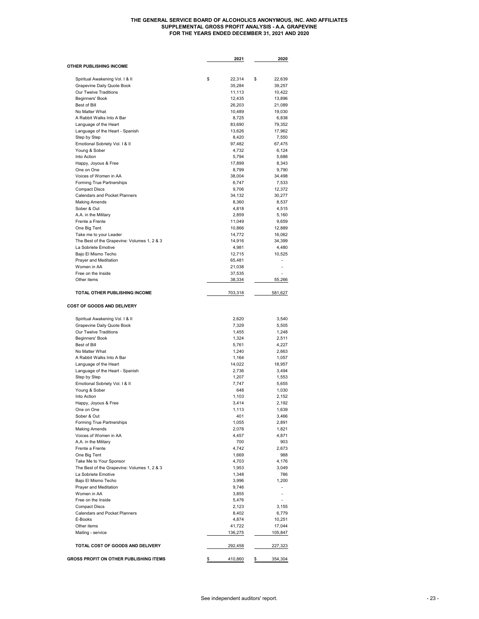#### **THE GENERAL SERVICE BOARD OF ALCOHOLICS ANONYMOUS, INC. AND AFFILIATES SUPPLEMENTAL GROSS PROFIT ANALYSIS - A.A. GRAPEVINE FOR THE YEARS ENDED DECEMBER 31, 2021 AND 2020**

|                                                                    | 2021             | 2020           |
|--------------------------------------------------------------------|------------------|----------------|
| OTHER PUBLISHING INCOME                                            |                  |                |
|                                                                    |                  |                |
| Spiritual Awakening Vol. I & II                                    | \$<br>22,314     | \$<br>22,639   |
| Grapevine Daily Quote Book                                         | 35,284           | 39,257         |
| Our Twelve Traditions                                              | 11,113           | 10,422         |
| <b>Beginners' Book</b>                                             | 12,435           | 13,896         |
| Best of Bill                                                       | 26,203           | 21,089         |
| No Matter What                                                     | 10,489           | 19,030         |
| A Rabbit Walks Into A Bar                                          | 8,725            | 6,838          |
| Language of the Heart                                              | 83,690           | 79,352         |
| Language of the Heart - Spanish                                    | 13,626           | 17,962         |
| Step by Step                                                       | 8,420            | 7,550          |
| Emotional Sobriety Vol. I & II                                     | 97,482           | 67,475         |
| Young & Sober                                                      | 4,732            | 6,124          |
| Into Action                                                        | 5,794            | 5,688          |
| Happy, Joyous & Free                                               | 17,899           | 8,343          |
| One on One                                                         | 8,799            | 9,790          |
| Voices of Women in AA                                              | 38,004           | 34,498         |
| Forming True Partnerships                                          | 6,747            | 7,533          |
| <b>Compact Discs</b>                                               | 9,706            | 12,372         |
| <b>Calendars and Pocket Planners</b>                               | 34,132           | 30,277         |
| <b>Making Amends</b>                                               |                  |                |
|                                                                    | 8,360            | 8,537          |
| Sober & Out                                                        | 4,818            | 4,515          |
| A.A. in the Military<br>Frente a Frente                            | 2,859            | 5,160          |
| One Big Tent                                                       | 11,049<br>10,866 | 9,659          |
|                                                                    |                  | 12,889         |
| Take me to your Leader                                             | 14,772           | 16,062         |
| The Best of the Grapevine: Volumes 1, 2 & 3                        | 14,916           | 34,399         |
| La Sobriete Emotive                                                | 4,981            | 4,480          |
| Bajo El Mismo Techo                                                | 12,715           | 10,525         |
| Prayer and Meditation                                              | 65,481           |                |
| Women in AA                                                        | 21,038           | $\overline{a}$ |
| Free on the Inside                                                 | 37,535           |                |
| Other items                                                        | 38,334           | 55,266         |
| TOTAL OTHER PUBLISHING INCOME                                      | 703,318          | 581,627        |
|                                                                    |                  |                |
| <b>COST OF GOODS AND DELIVERY</b>                                  |                  |                |
|                                                                    |                  |                |
| Spiritual Awakening Vol. I & II                                    | 2,620            | 3,540          |
| Grapevine Daily Quote Book                                         | 7,329            | 5,505          |
| Our Twelve Traditions                                              | 1,455            | 1,248          |
| Beginners' Book                                                    | 1,324            | 2,511          |
| Best of Bill                                                       | 5,761            | 4,227          |
| No Matter What                                                     | 1,240            | 2,663          |
| A Rabbit Walks Into A Bar                                          | 1,164            | 1,057          |
| Language of the Heart                                              | 14,022           | 18,957         |
| Language of the Heart - Spanish                                    | 2,736            | 3,494          |
| Step by Step                                                       | 1,207            | 1,553          |
|                                                                    | 7,747            |                |
| Emotional Sobriety Vol. I & II                                     | 648              | 5,655          |
| Young & Sober<br>Into Action                                       |                  | 1,030          |
|                                                                    | 1,103<br>3,414   | 2,152          |
| Happy, Joyous & Free<br>One on One                                 | 1,113            | 2,192          |
| Sober & Out                                                        | 401              | 1,639<br>3,466 |
| Forming True Partnerships                                          | 1,055            | 2,891          |
|                                                                    |                  |                |
| <b>Making Amends</b><br>Voices of Women in AA                      | 2,078<br>4,457   | 1,821<br>4,871 |
| A.A. in the Military                                               | 700              | 903            |
|                                                                    | 4,742            | 2,673          |
| Frente a Frente<br>One Big Tent                                    | 1,669            | 988            |
| Take Me to Your Sponsor                                            |                  | 4,176          |
|                                                                    | 4,703<br>1,953   |                |
| The Best of the Grapevine: Volumes 1, 2 & 3<br>La Sobriete Emotive |                  | 3,049          |
|                                                                    | 1,348<br>3,996   | 786            |
| Bajo El Mismo Techo                                                |                  | 1,200          |
| Prayer and Meditation                                              | 9,746            | ٠              |
| Women in AA<br>Free on the Inside                                  | 3,855            |                |
|                                                                    | 5,476            |                |
| <b>Compact Discs</b>                                               | 2,123            | 3,155          |
| Calendars and Pocket Planners                                      | 8,402            | 6,779          |
| E-Books                                                            | 4,874            | 10,251         |
| Other items<br>Mailing - service                                   | 41,722           | 17,044         |
|                                                                    | 136,275          | 105,847        |
| TOTAL COST OF GOODS AND DELIVERY                                   | 292,458          | 227,323        |
| <b>GROSS PROFIT ON OTHER PUBLISHING ITEMS</b>                      | \$<br>410,860    | \$<br>354,304  |
|                                                                    |                  |                |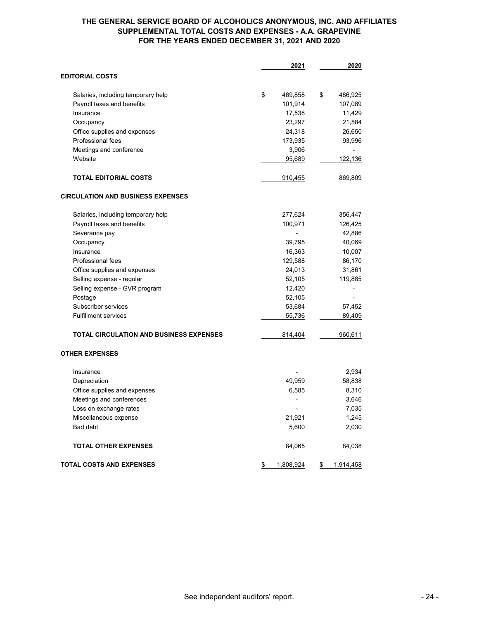# **THE GENERAL SERVICE BOARD OF ALCOHOLICS ANONYMOUS, INC. AND AFFILIATES SUPPLEMENTAL TOTAL COSTS AND EXPENSES - A.A. GRAPEVINE FOR THE YEARS ENDED DECEMBER 31, 2021 AND 2020**

|                                                | 2021            | 2020            |
|------------------------------------------------|-----------------|-----------------|
| EDITORIAL COSTS                                |                 |                 |
| Salaries, including temporary help             | \$<br>469,858   | \$<br>486,925   |
| Payroll taxes and benefits                     | 101,914         | 107,089         |
| Insurance                                      | 17,538          | 11,429          |
| Occupancy                                      | 23,297          | 21,584          |
| Office supplies and expenses                   | 24,318          | 26,650          |
| Professional fees                              | 173,935         | 93,996          |
| Meetings and conference                        | 3,906           |                 |
| Website                                        | 95,689          | 122,136         |
| <b>TOTAL EDITORIAL COSTS</b>                   | 910,455         | 869,809         |
| <b>CIRCULATION AND BUSINESS EXPENSES</b>       |                 |                 |
| Salaries, including temporary help             | 277,624         | 356,447         |
| Payroll taxes and benefits                     | 100,971         | 126,425         |
| Severance pay                                  |                 | 42,886          |
| Occupancy                                      | 39,795          | 40,069          |
| Insurance                                      | 16,363          | 10,007          |
| Professional fees                              | 129,588         | 86,170          |
| Office supplies and expenses                   | 24,013          | 31,861          |
| Selling expense - regular                      | 52,105          | 119,885         |
| Selling expense - GVR program                  | 12,420          |                 |
| Postage                                        | 52,105          |                 |
| Subscriber services                            | 53,684          | 57,452          |
| <b>Fulfillment services</b>                    | 55,736          | 89,409          |
| <b>TOTAL CIRCULATION AND BUSINESS EXPENSES</b> | 814,404         | 960,611         |
| <b>OTHER EXPENSES</b>                          |                 |                 |
| Insurance                                      |                 | 2,934           |
| Depreciation                                   | 49,959          | 58,838          |
| Office supplies and expenses                   | 6,585           | 8,310           |
| Meetings and conferences                       |                 | 3,646           |
| Loss on exchange rates                         |                 | 7,035           |
| Miscellaneous expense                          | 21,921          | 1,245           |
| Bad debt                                       | 5,600           | 2,030           |
| <b>TOTAL OTHER EXPENSES</b>                    | 84,065          | 84,038          |
| TOTAL COSTS AND EXPENSES                       | \$<br>1,808,924 | \$<br>1,914,458 |